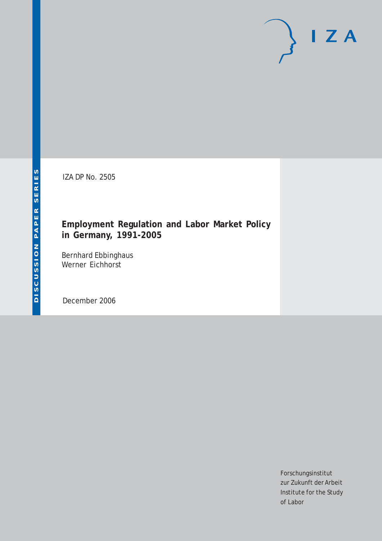# $I Z A$

IZA DP No. 2505

# **Employment Regulation and Labor Market Policy in Germany, 1991-2005**

Bernhard Ebbinghaus Werner Eichhorst

December 2006

Forschungsinstitut zur Zukunft der Arbeit Institute for the Study of Labor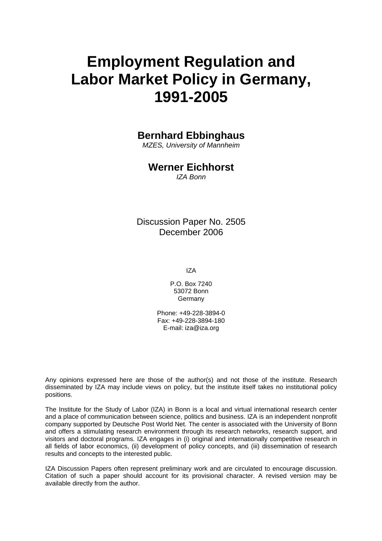# **Employment Regulation and Labor Market Policy in Germany, 1991-2005**

# **Bernhard Ebbinghaus**

*MZES, University of Mannheim* 

# **Werner Eichhorst**

*IZA Bonn* 

Discussion Paper No. 2505 December 2006

IZA

P.O. Box 7240 53072 Bonn Germany

Phone: +49-228-3894-0 Fax: +49-228-3894-180 E-mail: [iza@iza.org](mailto:iza@iza.org)

Any opinions expressed here are those of the author(s) and not those of the institute. Research disseminated by IZA may include views on policy, but the institute itself takes no institutional policy positions.

The Institute for the Study of Labor (IZA) in Bonn is a local and virtual international research center and a place of communication between science, politics and business. IZA is an independent nonprofit company supported by Deutsche Post World Net. The center is associated with the University of Bonn and offers a stimulating research environment through its research networks, research support, and visitors and doctoral programs. IZA engages in (i) original and internationally competitive research in all fields of labor economics, (ii) development of policy concepts, and (iii) dissemination of research results and concepts to the interested public.

IZA Discussion Papers often represent preliminary work and are circulated to encourage discussion. Citation of such a paper should account for its provisional character. A revised version may be available directly from the author.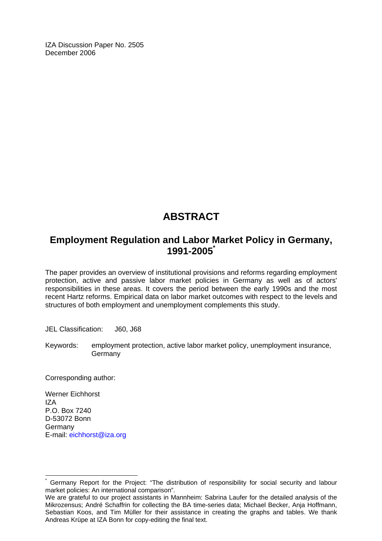IZA Discussion Paper No. 2505 December 2006

# **ABSTRACT**

# **Employment Regulation and Labor Market Policy in Germany, 1991-2005[\\*](#page-2-0)**

The paper provides an overview of institutional provisions and reforms regarding employment protection, active and passive labor market policies in Germany as well as of actors' responsibilities in these areas. It covers the period between the early 1990s and the most recent Hartz reforms. Empirical data on labor market outcomes with respect to the levels and structures of both employment and unemployment complements this study.

JEL Classification: J60, J68

Keywords: employment protection, active labor market policy, unemployment insurance, Germany

Corresponding author:

Werner Eichhorst IZA P.O. Box 7240 D-53072 Bonn **Germany** E-mail: [eichhorst@iza.org](mailto:eichhorst@iza.org)

 $\overline{a}$ 

<span id="page-2-0"></span><sup>\*</sup> Germany Report for the Project: "The distribution of responsibility for social security and labour market policies: An international comparison".

We are grateful to our project assistants in Mannheim: Sabrina Laufer for the detailed analysis of the Mikrozensus; André Schaffrin for collecting the BA time-series data; Michael Becker, Anja Hoffmann, Sebastian Koos, and Tim Müller for their assistance in creating the graphs and tables. We thank Andreas Krüpe at IZA Bonn for copy-editing the final text.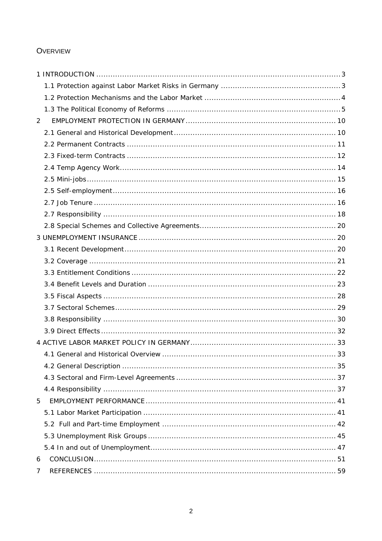# **OVERVIEW**

| 2 |  |
|---|--|
|   |  |
|   |  |
|   |  |
|   |  |
|   |  |
|   |  |
|   |  |
|   |  |
|   |  |
|   |  |
|   |  |
|   |  |
|   |  |
|   |  |
|   |  |
|   |  |
|   |  |
|   |  |
|   |  |
|   |  |
|   |  |
|   |  |
|   |  |
| 5 |  |
|   |  |
|   |  |
|   |  |
|   |  |
| 6 |  |
| 7 |  |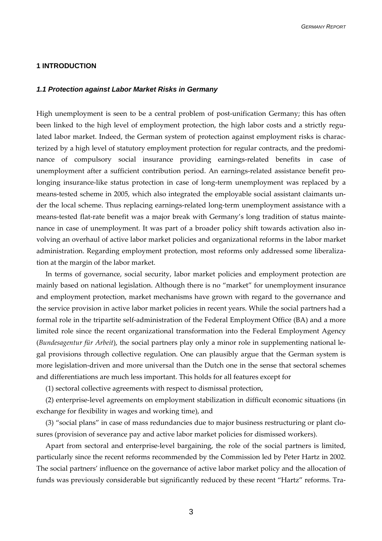#### <span id="page-4-0"></span>**1 INTRODUCTION**

#### *1.1 Protection against Labor Market Risks in Germany*

High unemployment is seen to be a central problem of post-unification Germany; this has often been linked to the high level of employment protection, the high labor costs and a strictly regulated labor market. Indeed, the German system of protection against employment risks is characterized by a high level of statutory employment protection for regular contracts, and the predominance of compulsory social insurance providing earnings-related benefits in case of unemployment after a sufficient contribution period. An earnings-related assistance benefit prolonging insurance-like status protection in case of long-term unemployment was replaced by a means-tested scheme in 2005, which also integrated the employable social assistant claimants under the local scheme. Thus replacing earnings-related long-term unemployment assistance with a means-tested flat-rate benefit was a major break with Germany's long tradition of status maintenance in case of unemployment. It was part of a broader policy shift towards activation also involving an overhaul of active labor market policies and organizational reforms in the labor market administration. Regarding employment protection, most reforms only addressed some liberalization at the margin of the labor market.

In terms of governance, social security, labor market policies and employment protection are mainly based on national legislation. Although there is no "market" for unemployment insurance and employment protection, market mechanisms have grown with regard to the governance and the service provision in active labor market policies in recent years. While the social partners had a formal role in the tripartite self-administration of the Federal Employment Office (BA) and a more limited role since the recent organizational transformation into the Federal Employment Agency (*Bundesagentur für Arbeit*), the social partners play only a minor role in supplementing national legal provisions through collective regulation. One can plausibly argue that the German system is more legislation-driven and more universal than the Dutch one in the sense that sectoral schemes and differentiations are much less important. This holds for all features except for

(1) sectoral collective agreements with respect to dismissal protection,

(2) enterprise-level agreements on employment stabilization in difficult economic situations (in exchange for flexibility in wages and working time), and

(3) "social plans" in case of mass redundancies due to major business restructuring or plant closures (provision of severance pay and active labor market policies for dismissed workers).

Apart from sectoral and enterprise-level bargaining, the role of the social partners is limited, particularly since the recent reforms recommended by the Commission led by Peter Hartz in 2002. The social partners' influence on the governance of active labor market policy and the allocation of funds was previously considerable but significantly reduced by these recent "Hartz" reforms. Tra-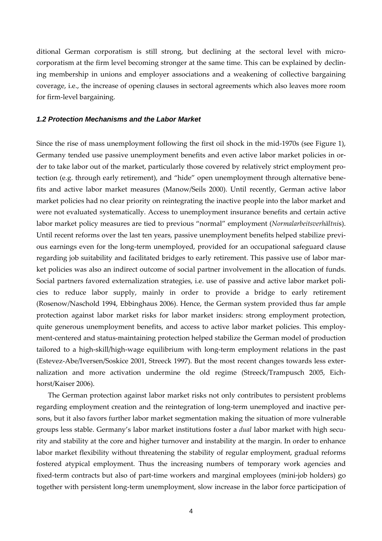<span id="page-5-0"></span>ditional German corporatism is still strong, but declining at the sectoral level with microcorporatism at the firm level becoming stronger at the same time. This can be explained by declining membership in unions and employer associations and a weakening of collective bargaining coverage, i.e., the increase of opening clauses in sectoral agreements which also leaves more room for firm-level bargaining.

#### *1.2 Protection Mechanisms and the Labor Market*

Since the rise of mass unemployment following the first oil shock in the mid-1970s (see Figure 1), Germany tended use passive unemployment benefits and even active labor market policies in order to take labor out of the market, particularly those covered by relatively strict employment protection (e.g. through early retirement), and "hide" open unemployment through alternative benefits and active labor market measures (Manow/Seils 2000). Until recently, German active labor market policies had no clear priority on reintegrating the inactive people into the labor market and were not evaluated systematically. Access to unemployment insurance benefits and certain active labor market policy measures are tied to previous "normal" employment (*Normalarbeitsverhältni*s). Until recent reforms over the last ten years, passive unemployment benefits helped stabilize previous earnings even for the long-term unemployed, provided for an occupational safeguard clause regarding job suitability and facilitated bridges to early retirement. This passive use of labor market policies was also an indirect outcome of social partner involvement in the allocation of funds. Social partners favored externalization strategies, i.e. use of passive and active labor market policies to reduce labor supply, mainly in order to provide a bridge to early retirement (Rosenow/Naschold 1994, Ebbinghaus 2006). Hence, the German system provided thus far ample protection against labor market risks for labor market insiders: strong employment protection, quite generous unemployment benefits, and access to active labor market policies. This employment-centered and status-maintaining protection helped stabilize the German model of production tailored to a high-skill/high-wage equilibrium with long-term employment relations in the past (Estevez-Abe/Iversen/Soskice 2001, Streeck 1997). But the most recent changes towards less externalization and more activation undermine the old regime (Streeck/Trampusch 2005, Eichhorst/Kaiser 2006).

The German protection against labor market risks not only contributes to persistent problems regarding employment creation and the reintegration of long-term unemployed and inactive persons, but it also favors further labor market segmentation making the situation of more vulnerable groups less stable. Germany's labor market institutions foster a *dual* labor market with high security and stability at the core and higher turnover and instability at the margin. In order to enhance labor market flexibility without threatening the stability of regular employment, gradual reforms fostered atypical employment. Thus the increasing numbers of temporary work agencies and fixed-term contracts but also of part-time workers and marginal employees (mini-job holders) go together with persistent long-term unemployment, slow increase in the labor force participation of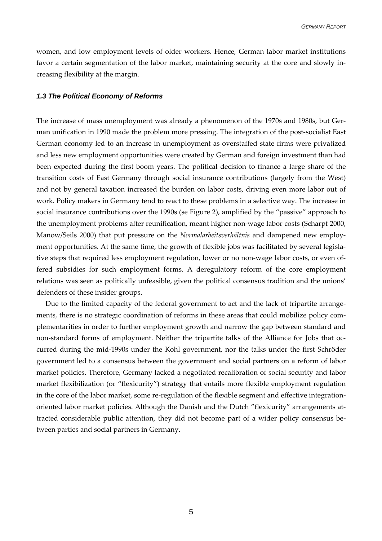<span id="page-6-0"></span>women, and low employment levels of older workers. Hence, German labor market institutions favor a certain segmentation of the labor market, maintaining security at the core and slowly increasing flexibility at the margin.

#### *1.3 The Political Economy of Reforms*

The increase of mass unemployment was already a phenomenon of the 1970s and 1980s, but German unification in 1990 made the problem more pressing. The integration of the post-socialist East German economy led to an increase in unemployment as overstaffed state firms were privatized and less new employment opportunities were created by German and foreign investment than had been expected during the first boom years. The political decision to finance a large share of the transition costs of East Germany through social insurance contributions (largely from the West) and not by general taxation increased the burden on labor costs, driving even more labor out of work. Policy makers in Germany tend to react to these problems in a selective way. The increase in social insurance contributions over the 1990s (se Figure 2), amplified by the "passive" approach to the unemployment problems after reunification, meant higher non-wage labor costs (Scharpf 2000, Manow/Seils 2000) that put pressure on the *Normalarbeitsverhältnis* and dampened new employment opportunities. At the same time, the growth of flexible jobs was facilitated by several legislative steps that required less employment regulation, lower or no non-wage labor costs, or even offered subsidies for such employment forms. A deregulatory reform of the core employment relations was seen as politically unfeasible, given the political consensus tradition and the unions' defenders of these insider groups.

Due to the limited capacity of the federal government to act and the lack of tripartite arrangements, there is no strategic coordination of reforms in these areas that could mobilize policy complementarities in order to further employment growth and narrow the gap between standard and non-standard forms of employment. Neither the tripartite talks of the Alliance for Jobs that occurred during the mid-1990s under the Kohl government, nor the talks under the first Schröder government led to a consensus between the government and social partners on a reform of labor market policies. Therefore, Germany lacked a negotiated recalibration of social security and labor market flexibilization (or "flexicurity") strategy that entails more flexible employment regulation in the core of the labor market, some re-regulation of the flexible segment and effective integrationoriented labor market policies. Although the Danish and the Dutch "flexicurity" arrangements attracted considerable public attention, they did not become part of a wider policy consensus between parties and social partners in Germany.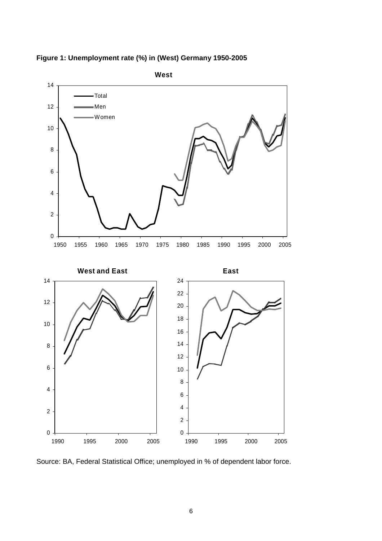

**Figure 1: Unemployment rate (%) in (West) Germany 1950-2005** 

Source: BA, Federal Statistical Office; unemployed in % of dependent labor force.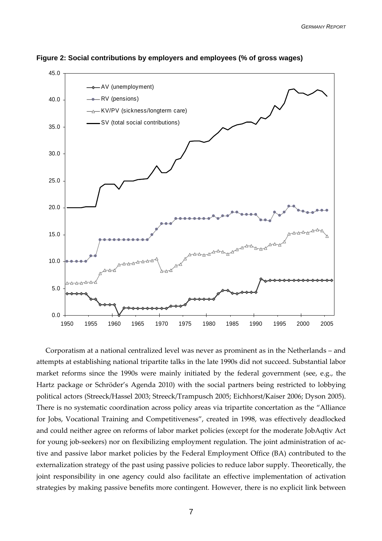

**Figure 2: Social contributions by employers and employees (% of gross wages)** 

Corporatism at a national centralized level was never as prominent as in the Netherlands – and attempts at establishing national tripartite talks in the late 1990s did not succeed. Substantial labor market reforms since the 1990s were mainly initiated by the federal government (see, e.g., the Hartz package or Schröder's Agenda 2010) with the social partners being restricted to lobbying political actors (Streeck/Hassel 2003; Streeck/Trampusch 2005; Eichhorst/Kaiser 2006; Dyson 2005). There is no systematic coordination across policy areas via tripartite concertation as the "Alliance for Jobs, Vocational Training and Competitiveness", created in 1998, was effectively deadlocked and could neither agree on reforms of labor market policies (except for the moderate JobAqtiv Act for young job-seekers) nor on flexibilizing employment regulation. The joint administration of active and passive labor market policies by the Federal Employment Office (BA) contributed to the externalization strategy of the past using passive policies to reduce labor supply. Theoretically, the joint responsibility in one agency could also facilitate an effective implementation of activation strategies by making passive benefits more contingent. However, there is no explicit link between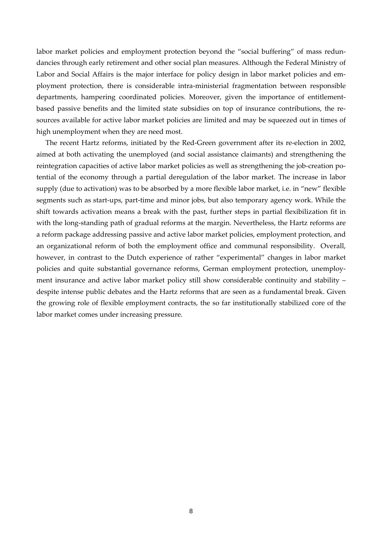labor market policies and employment protection beyond the "social buffering" of mass redundancies through early retirement and other social plan measures. Although the Federal Ministry of Labor and Social Affairs is the major interface for policy design in labor market policies and employment protection, there is considerable intra-ministerial fragmentation between responsible departments, hampering coordinated policies. Moreover, given the importance of entitlementbased passive benefits and the limited state subsidies on top of insurance contributions, the resources available for active labor market policies are limited and may be squeezed out in times of high unemployment when they are need most.

The recent Hartz reforms, initiated by the Red-Green government after its re-election in 2002, aimed at both activating the unemployed (and social assistance claimants) and strengthening the reintegration capacities of active labor market policies as well as strengthening the job-creation potential of the economy through a partial deregulation of the labor market. The increase in labor supply (due to activation) was to be absorbed by a more flexible labor market, i.e. in "new" flexible segments such as start-ups, part-time and minor jobs, but also temporary agency work. While the shift towards activation means a break with the past, further steps in partial flexibilization fit in with the long-standing path of gradual reforms at the margin. Nevertheless, the Hartz reforms are a reform package addressing passive and active labor market policies, employment protection, and an organizational reform of both the employment office and communal responsibility. Overall, however, in contrast to the Dutch experience of rather "experimental" changes in labor market policies and quite substantial governance reforms, German employment protection, unemployment insurance and active labor market policy still show considerable continuity and stability – despite intense public debates and the Hartz reforms that are seen as a fundamental break. Given the growing role of flexible employment contracts, the so far institutionally stabilized core of the labor market comes under increasing pressure.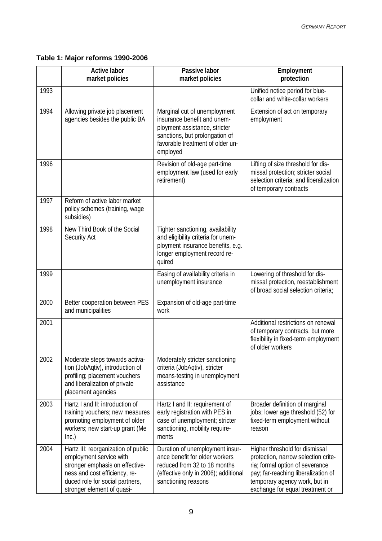# **Table 1: Major reforms 1990-2006**

|      | <b>Active labor</b><br>market policies                                                                                                                                                              | Passive labor<br>market policies                                                                                                                                               | Employment<br>protection                                                                                                                                                                                            |
|------|-----------------------------------------------------------------------------------------------------------------------------------------------------------------------------------------------------|--------------------------------------------------------------------------------------------------------------------------------------------------------------------------------|---------------------------------------------------------------------------------------------------------------------------------------------------------------------------------------------------------------------|
| 1993 |                                                                                                                                                                                                     |                                                                                                                                                                                | Unified notice period for blue-<br>collar and white-collar workers                                                                                                                                                  |
| 1994 | Allowing private job placement<br>agencies besides the public BA                                                                                                                                    | Marginal cut of unemployment<br>insurance benefit and unem-<br>ployment assistance, stricter<br>sanctions, but prolongation of<br>favorable treatment of older un-<br>employed | Extension of act on temporary<br>employment                                                                                                                                                                         |
| 1996 |                                                                                                                                                                                                     | Revision of old-age part-time<br>employment law (used for early<br>retirement)                                                                                                 | Lifting of size threshold for dis-<br>missal protection; stricter social<br>selection criteria; and liberalization<br>of temporary contracts                                                                        |
| 1997 | Reform of active labor market<br>policy schemes (training, wage<br>subsidies)                                                                                                                       |                                                                                                                                                                                |                                                                                                                                                                                                                     |
| 1998 | New Third Book of the Social<br>Security Act                                                                                                                                                        | Tighter sanctioning, availability<br>and eligibility criteria for unem-<br>ployment insurance benefits, e.g.<br>longer employment record re-<br>quired                         |                                                                                                                                                                                                                     |
| 1999 |                                                                                                                                                                                                     | Easing of availability criteria in<br>unemployment insurance                                                                                                                   | Lowering of threshold for dis-<br>missal protection, reestablishment<br>of broad social selection criteria;                                                                                                         |
| 2000 | Better cooperation between PES<br>and municipalities                                                                                                                                                | Expansion of old-age part-time<br>work                                                                                                                                         |                                                                                                                                                                                                                     |
| 2001 |                                                                                                                                                                                                     |                                                                                                                                                                                | Additional restrictions on renewal<br>of temporary contracts, but more<br>flexibility in fixed-term employment<br>of older workers                                                                                  |
| 2002 | Moderate steps towards activa-<br>tion (JobAqtiv), introduction of<br>profiling; placement vouchers<br>and liberalization of private<br>placement agencies                                          | Moderately stricter sanctioning<br>criteria (JobAqtiv), stricter<br>means-testing in unemployment<br>assistance                                                                |                                                                                                                                                                                                                     |
| 2003 | Hartz I and II: introduction of<br>training vouchers; new measures<br>promoting employment of older<br>workers; new start-up grant (Me<br>Inc.)                                                     | Hartz I and II: requirement of<br>early registration with PES in<br>case of unemployment; stricter<br>sanctioning, mobility require-<br>ments                                  | Broader definition of marginal<br>jobs; lower age threshold (52) for<br>fixed-term employment without<br>reason                                                                                                     |
| 2004 | Hartz III: reorganization of public<br>employment service with<br>stronger emphasis on effective-<br>ness and cost efficiency, re-<br>duced role for social partners,<br>stronger element of quasi- | Duration of unemployment insur-<br>ance benefit for older workers<br>reduced from 32 to 18 months<br>(effective only in 2006); additional<br>sanctioning reasons               | Higher threshold for dismissal<br>protection, narrow selection crite-<br>ria; formal option of severance<br>pay; far-reaching liberalization of<br>temporary agency work, but in<br>exchange for equal treatment or |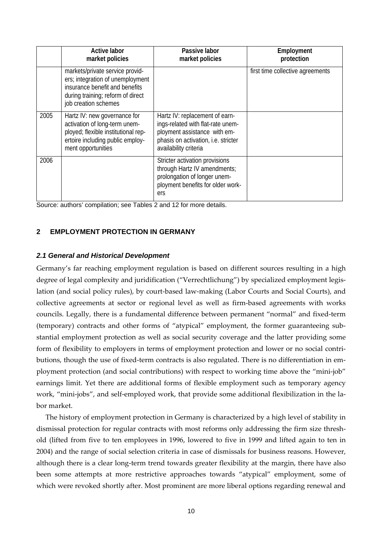<span id="page-11-0"></span>

|      | <b>Active labor</b><br>market policies                                                                                                                             | Passive labor<br>market policies                                                                                                                                    | Employment<br>protection         |
|------|--------------------------------------------------------------------------------------------------------------------------------------------------------------------|---------------------------------------------------------------------------------------------------------------------------------------------------------------------|----------------------------------|
|      | markets/private service provid-<br>ers; integration of unemployment<br>insurance benefit and benefits<br>during training; reform of direct<br>job creation schemes |                                                                                                                                                                     | first time collective agreements |
| 2005 | Hartz IV: new governance for<br>activation of long-term unem-<br>ployed; flexible institutional rep-<br>ertoire including public employ-<br>ment opportunities     | Hartz IV: replacement of earn-<br>ings-related with flat-rate unem-<br>ployment assistance with em-<br>phasis on activation, i.e. stricter<br>availability criteria |                                  |
| 2006 |                                                                                                                                                                    | Stricter activation provisions<br>through Hartz IV amendments;<br>prolongation of longer unem-<br>ployment benefits for older work-<br>ers                          |                                  |

Source: authors' compilation; see Tables 2 and 12 for more details.

#### **2 EMPLOYMENT PROTECTION IN GERMANY**

#### *2.1 General and Historical Development*

Germany's far reaching employment regulation is based on different sources resulting in a high degree of legal complexity and juridification ("Verrechtlichung") by specialized employment legislation (and social policy rules), by court-based law-making (Labor Courts and Social Courts), and collective agreements at sector or regional level as well as firm-based agreements with works councils. Legally, there is a fundamental difference between permanent "normal" and fixed-term (temporary) contracts and other forms of "atypical" employment, the former guaranteeing substantial employment protection as well as social security coverage and the latter providing some form of flexibility to employers in terms of employment protection and lower or no social contributions, though the use of fixed-term contracts is also regulated. There is no differentiation in employment protection (and social contributions) with respect to working time above the "mini-job" earnings limit. Yet there are additional forms of flexible employment such as temporary agency work, "mini-jobs", and self-employed work, that provide some additional flexibilization in the labor market.

The history of employment protection in Germany is characterized by a high level of stability in dismissal protection for regular contracts with most reforms only addressing the firm size threshold (lifted from five to ten employees in 1996, lowered to five in 1999 and lifted again to ten in 2004) and the range of social selection criteria in case of dismissals for business reasons. However, although there is a clear long-term trend towards greater flexibility at the margin, there have also been some attempts at more restrictive approaches towards "atypical" employment, some of which were revoked shortly after. Most prominent are more liberal options regarding renewal and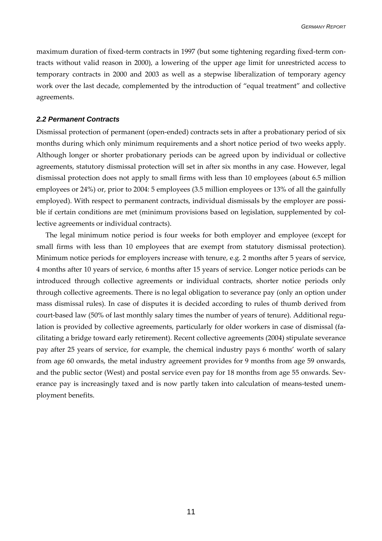<span id="page-12-0"></span>maximum duration of fixed-term contracts in 1997 (but some tightening regarding fixed-term contracts without valid reason in 2000), a lowering of the upper age limit for unrestricted access to temporary contracts in 2000 and 2003 as well as a stepwise liberalization of temporary agency work over the last decade, complemented by the introduction of "equal treatment" and collective agreements.

#### *2.2 Permanent Contracts*

Dismissal protection of permanent (open-ended) contracts sets in after a probationary period of six months during which only minimum requirements and a short notice period of two weeks apply. Although longer or shorter probationary periods can be agreed upon by individual or collective agreements, statutory dismissal protection will set in after six months in any case. However, legal dismissal protection does not apply to small firms with less than 10 employees (about 6.5 million employees or 24%) or, prior to 2004: 5 employees (3.5 million employees or 13% of all the gainfully employed). With respect to permanent contracts, individual dismissals by the employer are possible if certain conditions are met (minimum provisions based on legislation, supplemented by collective agreements or individual contracts).

The legal minimum notice period is four weeks for both employer and employee (except for small firms with less than 10 employees that are exempt from statutory dismissal protection). Minimum notice periods for employers increase with tenure, e.g. 2 months after 5 years of service, 4 months after 10 years of service, 6 months after 15 years of service. Longer notice periods can be introduced through collective agreements or individual contracts, shorter notice periods only through collective agreements. There is no legal obligation to severance pay (only an option under mass dismissal rules). In case of disputes it is decided according to rules of thumb derived from court-based law (50% of last monthly salary times the number of years of tenure). Additional regulation is provided by collective agreements, particularly for older workers in case of dismissal (facilitating a bridge toward early retirement). Recent collective agreements (2004) stipulate severance pay after 25 years of service, for example, the chemical industry pays 6 months' worth of salary from age 60 onwards, the metal industry agreement provides for 9 months from age 59 onwards, and the public sector (West) and postal service even pay for 18 months from age 55 onwards. Severance pay is increasingly taxed and is now partly taken into calculation of means-tested unemployment benefits.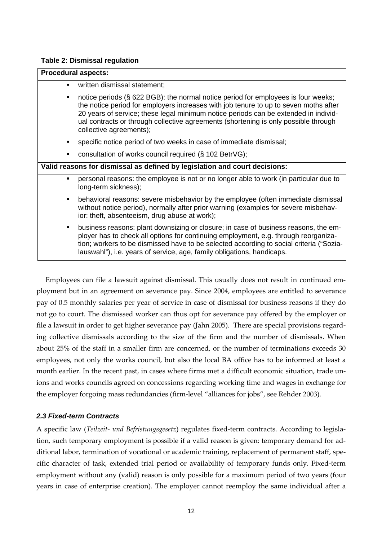#### <span id="page-13-0"></span>**Table 2: Dismissal regulation**

| ٠              | written dismissal statement;                                                                                                                                                                                                                                                                                                                                                       |
|----------------|------------------------------------------------------------------------------------------------------------------------------------------------------------------------------------------------------------------------------------------------------------------------------------------------------------------------------------------------------------------------------------|
| ٠              | notice periods (§ 622 BGB): the normal notice period for employees is four weeks;<br>the notice period for employers increases with job tenure to up to seven moths after<br>20 years of service; these legal minimum notice periods can be extended in individ-<br>ual contracts or through collective agreements (shortening is only possible through<br>collective agreements); |
|                | specific notice period of two weeks in case of immediate dismissal;                                                                                                                                                                                                                                                                                                                |
| ٠              | consultation of works council required (§ 102 BetrVG);                                                                                                                                                                                                                                                                                                                             |
|                | Valid reasons for dismissal as defined by legislation and court decisions:                                                                                                                                                                                                                                                                                                         |
| $\blacksquare$ | personal reasons: the employee is not or no longer able to work (in particular due to<br>long-term sickness);                                                                                                                                                                                                                                                                      |
| ٠              | behavioral reasons: severe misbehavior by the employee (often immediate dismissal<br>without notice period), normally after prior warning (examples for severe misbehav-<br>ior: theft, absenteeism, drug abuse at work);                                                                                                                                                          |
| $\blacksquare$ | business reasons: plant downsizing or closure; in case of business reasons, the em-<br>ployer has to check all options for continuing employment, e.g. through reorganiza-<br>tion; workers to be dismissed have to be selected according to social criteria ("Sozia-<br>lauswahl"), i.e. years of service, age, family obligations, handicaps.                                    |

Employees can file a lawsuit against dismissal. This usually does not result in continued employment but in an agreement on severance pay. Since 2004, employees are entitled to severance pay of 0.5 monthly salaries per year of service in case of dismissal for business reasons if they do not go to court. The dismissed worker can thus opt for severance pay offered by the employer or file a lawsuit in order to get higher severance pay (Jahn 2005). There are special provisions regarding collective dismissals according to the size of the firm and the number of dismissals. When about 25% of the staff in a smaller firm are concerned, or the number of terminations exceeds 30 employees, not only the works council, but also the local BA office has to be informed at least a month earlier. In the recent past, in cases where firms met a difficult economic situation, trade unions and works councils agreed on concessions regarding working time and wages in exchange for the employer forgoing mass redundancies (firm-level "alliances for jobs", see Rehder 2003).

# *2.3 Fixed-term Contracts*

A specific law (*Teilzeit- und Befristungsgesetz*) regulates fixed-term contracts. According to legislation, such temporary employment is possible if a valid reason is given: temporary demand for additional labor, termination of vocational or academic training, replacement of permanent staff, specific character of task, extended trial period or availability of temporary funds only. Fixed-term employment without any (valid) reason is only possible for a maximum period of two years (four years in case of enterprise creation). The employer cannot reemploy the same individual after a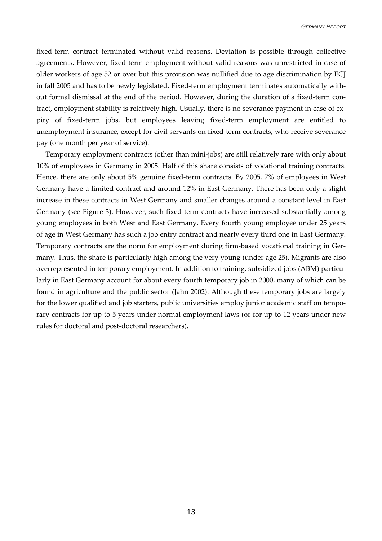fixed-term contract terminated without valid reasons. Deviation is possible through collective agreements. However, fixed-term employment without valid reasons was unrestricted in case of older workers of age 52 or over but this provision was nullified due to age discrimination by ECJ in fall 2005 and has to be newly legislated. Fixed-term employment terminates automatically without formal dismissal at the end of the period. However, during the duration of a fixed-term contract, employment stability is relatively high. Usually, there is no severance payment in case of expiry of fixed-term jobs, but employees leaving fixed-term employment are entitled to unemployment insurance, except for civil servants on fixed-term contracts, who receive severance pay (one month per year of service).

Temporary employment contracts (other than mini-jobs) are still relatively rare with only about 10% of employees in Germany in 2005. Half of this share consists of vocational training contracts. Hence, there are only about 5% genuine fixed-term contracts. By 2005, 7% of employees in West Germany have a limited contract and around 12% in East Germany. There has been only a slight increase in these contracts in West Germany and smaller changes around a constant level in East Germany (see Figure 3). However, such fixed-term contracts have increased substantially among young employees in both West and East Germany. Every fourth young employee under 25 years of age in West Germany has such a job entry contract and nearly every third one in East Germany. Temporary contracts are the norm for employment during firm-based vocational training in Germany. Thus, the share is particularly high among the very young (under age 25). Migrants are also overrepresented in temporary employment. In addition to training, subsidized jobs (ABM) particularly in East Germany account for about every fourth temporary job in 2000, many of which can be found in agriculture and the public sector (Jahn 2002). Although these temporary jobs are largely for the lower qualified and job starters, public universities employ junior academic staff on temporary contracts for up to 5 years under normal employment laws (or for up to 12 years under new rules for doctoral and post-doctoral researchers).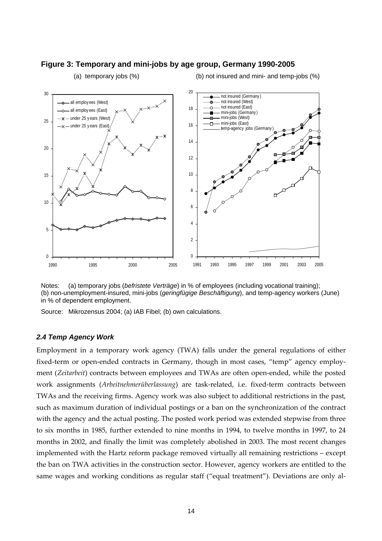

#### <span id="page-15-0"></span>**Figure 3: Temporary and mini-jobs by age group, Germany 1990-2005**

(a) temporary jobs  $(\%)$  (b) not insured and mini- and temp-jobs  $(\%)$ 

Notes: (a) temporary jobs (*befristete Verträge*) in % of employees (including vocational training); (b) non-unemployment-insured, mini-jobs (*geringfügige Beschäftigung*), and temp-agency workers (June) in % of dependent employment.

Source: Mikrozensus 2004; (a) IAB Fibel; (b) own calculations.

#### *2.4 Temp Agency Work*

Employment in a temporary work agency (TWA) falls under the general regulations of either fixed-term or open-ended contracts in Germany, though in most cases, "temp" agency employment (*Zeitarbeit*) contracts between employees and TWAs are often open-ended, while the posted work assignments (*Arbeitnehmerüberlassung*) are task-related, i.e. fixed-term contracts between TWAs and the receiving firms. Agency work was also subject to additional restrictions in the past, such as maximum duration of individual postings or a ban on the synchronization of the contract with the agency and the actual posting. The posted work period was extended stepwise from three to six months in 1985, further extended to nine months in 1994, to twelve months in 1997, to 24 months in 2002, and finally the limit was completely abolished in 2003. The most recent changes implemented with the Hartz reform package removed virtually all remaining restrictions – except the ban on TWA activities in the construction sector. However, agency workers are entitled to the same wages and working conditions as regular staff ("equal treatment"). Deviations are only al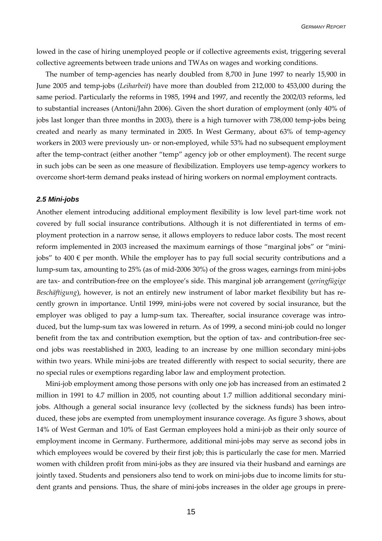<span id="page-16-0"></span>lowed in the case of hiring unemployed people or if collective agreements exist, triggering several collective agreements between trade unions and TWAs on wages and working conditions.

The number of temp-agencies has nearly doubled from 8,700 in June 1997 to nearly 15,900 in June 2005 and temp-jobs (*Leiharbeit*) have more than doubled from 212,000 to 453,000 during the same period. Particularly the reforms in 1985, 1994 and 1997, and recently the 2002/03 reforms, led to substantial increases (Antoni/Jahn 2006). Given the short duration of employment (only 40% of jobs last longer than three months in 2003), there is a high turnover with 738,000 temp-jobs being created and nearly as many terminated in 2005. In West Germany, about 63% of temp-agency workers in 2003 were previously un- or non-employed, while 53% had no subsequent employment after the temp-contract (either another "temp" agency job or other employment). The recent surge in such jobs can be seen as one measure of flexibilization. Employers use temp-agency workers to overcome short-term demand peaks instead of hiring workers on normal employment contracts.

#### *2.5 Mini-jobs*

Another element introducing additional employment flexibility is low level part-time work not covered by full social insurance contributions. Although it is not differentiated in terms of employment protection in a narrow sense, it allows employers to reduce labor costs. The most recent reform implemented in 2003 increased the maximum earnings of those "marginal jobs" or "minijobs" to 400  $\epsilon$  per month. While the employer has to pay full social security contributions and a lump-sum tax, amounting to 25% (as of mid-2006 30%) of the gross wages, earnings from mini-jobs are tax- and contribution-free on the employee's side. This marginal job arrangement (*geringfügige Beschäftigung*), however, is not an entirely new instrument of labor market flexibility but has recently grown in importance. Until 1999, mini-jobs were not covered by social insurance, but the employer was obliged to pay a lump-sum tax. Thereafter, social insurance coverage was introduced, but the lump-sum tax was lowered in return. As of 1999, a second mini-job could no longer benefit from the tax and contribution exemption, but the option of tax- and contribution-free second jobs was reestablished in 2003, leading to an increase by one million secondary mini-jobs within two years. While mini-jobs are treated differently with respect to social security, there are no special rules or exemptions regarding labor law and employment protection.

Mini-job employment among those persons with only one job has increased from an estimated 2 million in 1991 to 4.7 million in 2005, not counting about 1.7 million additional secondary minijobs. Although a general social insurance levy (collected by the sickness funds) has been introduced, these jobs are exempted from unemployment insurance coverage. As figure 3 shows, about 14% of West German and 10% of East German employees hold a mini-job as their only source of employment income in Germany. Furthermore, additional mini-jobs may serve as second jobs in which employees would be covered by their first job; this is particularly the case for men. Married women with children profit from mini-jobs as they are insured via their husband and earnings are jointly taxed. Students and pensioners also tend to work on mini-jobs due to income limits for student grants and pensions. Thus, the share of mini-jobs increases in the older age groups in prere-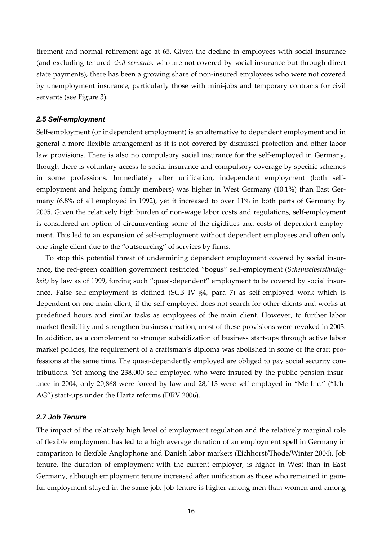<span id="page-17-0"></span>tirement and normal retirement age at 65. Given the decline in employees with social insurance (and excluding tenured *civil servants,* who are not covered by social insurance but through direct state payments), there has been a growing share of non-insured employees who were not covered by unemployment insurance, particularly those with mini-jobs and temporary contracts for civil servants (see Figure 3).

#### *2.5 Self-employment*

Self-employment (or independent employment) is an alternative to dependent employment and in general a more flexible arrangement as it is not covered by dismissal protection and other labor law provisions. There is also no compulsory social insurance for the self-employed in Germany, though there is voluntary access to social insurance and compulsory coverage by specific schemes in some professions. Immediately after unification, independent employment (both selfemployment and helping family members) was higher in West Germany (10.1%) than East Germany (6.8% of all employed in 1992), yet it increased to over 11% in both parts of Germany by 2005. Given the relatively high burden of non-wage labor costs and regulations, self-employment is considered an option of circumventing some of the rigidities and costs of dependent employment. This led to an expansion of self-employment without dependent employees and often only one single client due to the "outsourcing" of services by firms.

To stop this potential threat of undermining dependent employment covered by social insurance, the red-green coalition government restricted "bogus" self-employment (*Scheinselbstständigkeit)* by law as of 1999, forcing such "quasi-dependent" employment to be covered by social insurance. False self-employment is defined (SGB IV §4, para 7) as self-employed work which is dependent on one main client, if the self-employed does not search for other clients and works at predefined hours and similar tasks as employees of the main client. However, to further labor market flexibility and strengthen business creation, most of these provisions were revoked in 2003. In addition, as a complement to stronger subsidization of business start-ups through active labor market policies, the requirement of a craftsman's diploma was abolished in some of the craft professions at the same time. The quasi-dependently employed are obliged to pay social security contributions. Yet among the 238,000 self-employed who were insured by the public pension insurance in 2004, only 20,868 were forced by law and 28,113 were self-employed in "Me Inc." ("Ich-AG") start-ups under the Hartz reforms (DRV 2006).

#### *2.7 Job Tenure*

The impact of the relatively high level of employment regulation and the relatively marginal role of flexible employment has led to a high average duration of an employment spell in Germany in comparison to flexible Anglophone and Danish labor markets (Eichhorst/Thode/Winter 2004). Job tenure, the duration of employment with the current employer, is higher in West than in East Germany, although employment tenure increased after unification as those who remained in gainful employment stayed in the same job. Job tenure is higher among men than women and among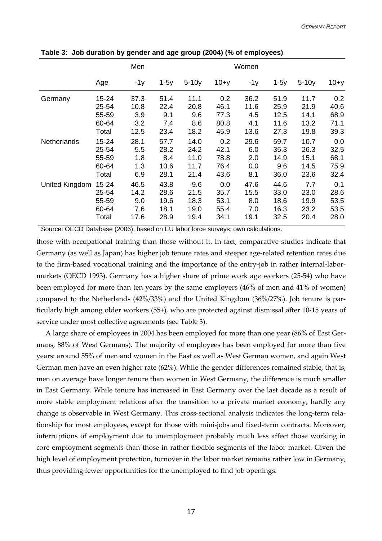|                    |           | Men   |        |         |        | Women |        |         |          |
|--------------------|-----------|-------|--------|---------|--------|-------|--------|---------|----------|
|                    | Age       | $-1y$ | $1-5y$ | $5-10y$ | $10+y$ | $-1y$ | $1-5y$ | $5-10y$ | $10 + y$ |
| Germany            | 15-24     | 37.3  | 51.4   | 11.1    | 0.2    | 36.2  | 51.9   | 11.7    | 0.2      |
|                    | 25-54     | 10.8  | 22.4   | 20.8    | 46.1   | 11.6  | 25.9   | 21.9    | 40.6     |
|                    | 55-59     | 3.9   | 9.1    | 9.6     | 77.3   | 4.5   | 12.5   | 14.1    | 68.9     |
|                    | 60-64     | 3.2   | 7.4    | 8.6     | 80.8   | 4.1   | 11.6   | 13.2    | 71.1     |
|                    | Total     | 12.5  | 23.4   | 18.2    | 45.9   | 13.6  | 27.3   | 19.8    | 39.3     |
| <b>Netherlands</b> | $15 - 24$ | 28.1  | 57.7   | 14.0    | 0.2    | 29.6  | 59.7   | 10.7    | 0.0      |
|                    | 25-54     | 5.5   | 28.2   | 24.2    | 42.1   | 6.0   | 35.3   | 26.3    | 32.5     |
|                    | 55-59     | 1.8   | 8.4    | 11.0    | 78.8   | 2.0   | 14.9   | 15.1    | 68.1     |
|                    | 60-64     | 1.3   | 10.6   | 11.7    | 76.4   | 0.0   | 9.6    | 14.5    | 75.9     |
|                    | Total     | 6.9   | 28.1   | 21.4    | 43.6   | 8.1   | 36.0   | 23.6    | 32.4     |
| United Kingdom     | $15 - 24$ | 46.5  | 43.8   | 9.6     | 0.0    | 47.6  | 44.6   | 7.7     | 0.1      |
|                    | 25-54     | 14.2  | 28.6   | 21.5    | 35.7   | 15.5  | 33.0   | 23.0    | 28.6     |
|                    | 55-59     | 9.0   | 19.6   | 18.3    | 53.1   | 8.0   | 18.6   | 19.9    | 53.5     |
|                    | 60-64     | 7.6   | 18.1   | 19.0    | 55.4   | 7.0   | 16.3   | 23.2    | 53.5     |
|                    | Total     | 17.6  | 28.9   | 19.4    | 34.1   | 19.1  | 32.5   | 20.4    | 28.0     |

**Table 3: Job duration by gender and age group (2004) (% of employees)** 

Source: OECD Database (2006), based on EU labor force surveys; own calculations.

those with occupational training than those without it. In fact, comparative studies indicate that Germany (as well as Japan) has higher job tenure rates and steeper age-related retention rates due to the firm-based vocational training and the importance of the entry-job in rather internal-labormarkets (OECD 1993). Germany has a higher share of prime work age workers (25-54) who have been employed for more than ten years by the same employers (46% of men and 41% of women) compared to the Netherlands (42%/33%) and the United Kingdom (36%/27%). Job tenure is particularly high among older workers (55+), who are protected against dismissal after 10-15 years of service under most collective agreements (see Table 3).

A large share of employees in 2004 has been employed for more than one year (86% of East Germans, 88% of West Germans). The majority of employees has been employed for more than five years: around 55% of men and women in the East as well as West German women, and again West German men have an even higher rate (62%). While the gender differences remained stable, that is, men on average have longer tenure than women in West Germany, the difference is much smaller in East Germany. While tenure has increased in East Germany over the last decade as a result of more stable employment relations after the transition to a private market economy, hardly any change is observable in West Germany. This cross-sectional analysis indicates the long-term relationship for most employees, except for those with mini-jobs and fixed-term contracts. Moreover, interruptions of employment due to unemployment probably much less affect those working in core employment segments than those in rather flexible segments of the labor market. Given the high level of employment protection, turnover in the labor market remains rather low in Germany, thus providing fewer opportunities for the unemployed to find job openings.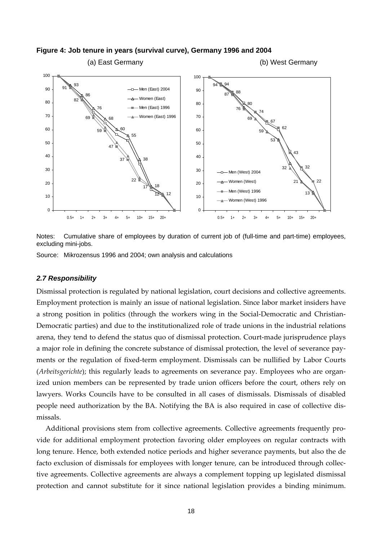

<span id="page-19-0"></span>**Figure 4: Job tenure in years (survival curve), Germany 1996 and 2004** 

Notes: Cumulative share of employees by duration of current job of (full-time and part-time) employees, excluding mini-jobs.

Source: Mikrozensus 1996 and 2004; own analysis and calculations

#### *2.7 Responsibility*

Dismissal protection is regulated by national legislation, court decisions and collective agreements. Employment protection is mainly an issue of national legislation. Since labor market insiders have a strong position in politics (through the workers wing in the Social-Democratic and Christian-Democratic parties) and due to the institutionalized role of trade unions in the industrial relations arena, they tend to defend the status quo of dismissal protection. Court-made jurisprudence plays a major role in defining the concrete substance of dismissal protection, the level of severance payments or the regulation of fixed-term employment. Dismissals can be nullified by Labor Courts (*Arbeitsgerichte*); this regularly leads to agreements on severance pay. Employees who are organized union members can be represented by trade union officers before the court, others rely on lawyers. Works Councils have to be consulted in all cases of dismissals. Dismissals of disabled people need authorization by the BA. Notifying the BA is also required in case of collective dismissals.

Additional provisions stem from collective agreements. Collective agreements frequently provide for additional employment protection favoring older employees on regular contracts with long tenure. Hence, both extended notice periods and higher severance payments, but also the de facto exclusion of dismissals for employees with longer tenure, can be introduced through collective agreements. Collective agreements are always a complement topping up legislated dismissal protection and cannot substitute for it since national legislation provides a binding minimum.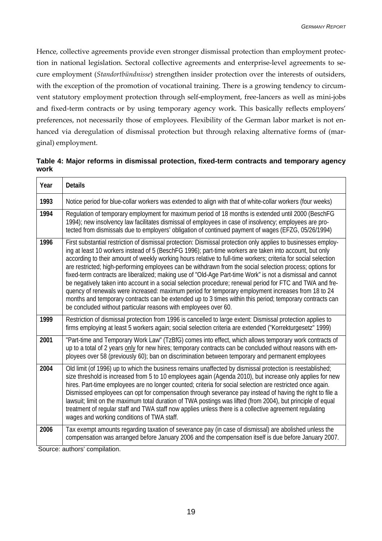Hence, collective agreements provide even stronger dismissal protection than employment protection in national legislation. Sectoral collective agreements and enterprise-level agreements to secure employment (*Standortbündnisse*) strengthen insider protection over the interests of outsiders, with the exception of the promotion of vocational training. There is a growing tendency to circumvent statutory employment protection through self-employment, free-lancers as well as mini-jobs and fixed-term contracts or by using temporary agency work. This basically reflects employers' preferences, not necessarily those of employees. Flexibility of the German labor market is not enhanced via deregulation of dismissal protection but through relaxing alternative forms of (marginal) employment.

**Table 4: Major reforms in dismissal protection, fixed-term contracts and temporary agency work**

| Year | <b>Details</b>                                                                                                                                                                                                                                                                                                                                                                                                                                                                                                                                                                                                                                                                                                                                                                                                                                                                                                                                                           |
|------|--------------------------------------------------------------------------------------------------------------------------------------------------------------------------------------------------------------------------------------------------------------------------------------------------------------------------------------------------------------------------------------------------------------------------------------------------------------------------------------------------------------------------------------------------------------------------------------------------------------------------------------------------------------------------------------------------------------------------------------------------------------------------------------------------------------------------------------------------------------------------------------------------------------------------------------------------------------------------|
| 1993 | Notice period for blue-collar workers was extended to align with that of white-collar workers (four weeks)                                                                                                                                                                                                                                                                                                                                                                                                                                                                                                                                                                                                                                                                                                                                                                                                                                                               |
| 1994 | Regulation of temporary employment for maximum period of 18 months is extended until 2000 (BeschFG<br>1994); new insolvency law facilitates dismissal of employees in case of insolvency; employees are pro-<br>tected from dismissals due to employers' obligation of continued payment of wages (EFZG, 05/26/1994)                                                                                                                                                                                                                                                                                                                                                                                                                                                                                                                                                                                                                                                     |
| 1996 | First substantial restriction of dismissal protection: Dismissal protection only applies to businesses employ-<br>ing at least 10 workers instead of 5 (BeschFG 1996); part-time workers are taken into account, but only<br>according to their amount of weekly working hours relative to full-time workers; criteria for social selection<br>are restricted; high-performing employees can be withdrawn from the social selection process; options for<br>fixed-term contracts are liberalized; making use of "Old-Age Part-time Work" is not a dismissal and cannot<br>be negatively taken into account in a social selection procedure; renewal period for FTC and TWA and fre-<br>quency of renewals were increased: maximum period for temporary employment increases from 18 to 24<br>months and temporary contracts can be extended up to 3 times within this period; temporary contracts can<br>be concluded without particular reasons with employees over 60. |
| 1999 | Restriction of dismissal protection from 1996 is cancelled to large extent: Dismissal protection applies to<br>firms employing at least 5 workers again; social selection criteria are extended ("Korrekturgesetz" 1999)                                                                                                                                                                                                                                                                                                                                                                                                                                                                                                                                                                                                                                                                                                                                                 |
| 2001 | "Part-time and Temporary Work Law" (TzBfG) comes into effect, which allows temporary work contracts of<br>up to a total of 2 years only for new hires; temporary contracts can be concluded without reasons with em-<br>ployees over 58 (previously 60); ban on discrimination between temporary and permanent employees                                                                                                                                                                                                                                                                                                                                                                                                                                                                                                                                                                                                                                                 |
| 2004 | Old limit (of 1996) up to which the business remains unaffected by dismissal protection is reestablished;<br>size threshold is increased from 5 to 10 employees again (Agenda 2010), but increase only applies for new<br>hires. Part-time employees are no longer counted; criteria for social selection are restricted once again.<br>Dismissed employees can opt for compensation through severance pay instead of having the right to file a<br>lawsuit; limit on the maximum total duration of TWA postings was lifted (from 2004), but principle of equal<br>treatment of regular staff and TWA staff now applies unless there is a collective agreement regulating<br>wages and working conditions of TWA staff.                                                                                                                                                                                                                                                  |
| 2006 | Tax exempt amounts regarding taxation of severance pay (in case of dismissal) are abolished unless the<br>compensation was arranged before January 2006 and the compensation itself is due before January 2007.<br>Source: authors' compilation                                                                                                                                                                                                                                                                                                                                                                                                                                                                                                                                                                                                                                                                                                                          |

Source: authors' compilation.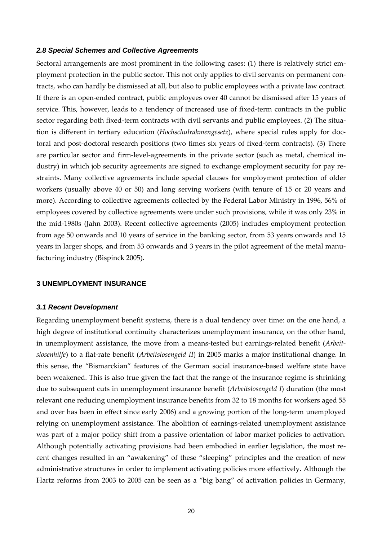#### <span id="page-21-0"></span>*2.8 Special Schemes and Collective Agreements*

Sectoral arrangements are most prominent in the following cases: (1) there is relatively strict employment protection in the public sector. This not only applies to civil servants on permanent contracts, who can hardly be dismissed at all, but also to public employees with a private law contract. If there is an open-ended contract, public employees over 40 cannot be dismissed after 15 years of service. This, however, leads to a tendency of increased use of fixed-term contracts in the public sector regarding both fixed-term contracts with civil servants and public employees. (2) The situation is different in tertiary education (*Hochschulrahmengesetz*), where special rules apply for doctoral and post-doctoral research positions (two times six years of fixed-term contracts). (3) There are particular sector and firm-level-agreements in the private sector (such as metal, chemical industry) in which job security agreements are signed to exchange employment security for pay restraints. Many collective agreements include special clauses for employment protection of older workers (usually above 40 or 50) and long serving workers (with tenure of 15 or 20 years and more). According to collective agreements collected by the Federal Labor Ministry in 1996, 56% of employees covered by collective agreements were under such provisions, while it was only 23% in the mid-1980s (Jahn 2003). Recent collective agreements (2005) includes employment protection from age 50 onwards and 10 years of service in the banking sector, from 53 years onwards and 15 years in larger shops, and from 53 onwards and 3 years in the pilot agreement of the metal manufacturing industry (Bispinck 2005).

#### **3 UNEMPLOYMENT INSURANCE**

#### *3.1 Recent Development*

Regarding unemployment benefit systems, there is a dual tendency over time: on the one hand, a high degree of institutional continuity characterizes unemployment insurance, on the other hand, in unemployment assistance, the move from a means-tested but earnings-related benefit (*Arbeitslosenhilfe*) to a flat-rate benefit (*Arbeitslosengeld II*) in 2005 marks a major institutional change. In this sense, the "Bismarckian" features of the German social insurance-based welfare state have been weakened. This is also true given the fact that the range of the insurance regime is shrinking due to subsequent cuts in unemployment insurance benefit (*Arbeitslosengeld I*) duration (the most relevant one reducing unemployment insurance benefits from 32 to 18 months for workers aged 55 and over has been in effect since early 2006) and a growing portion of the long-term unemployed relying on unemployment assistance. The abolition of earnings-related unemployment assistance was part of a major policy shift from a passive orientation of labor market policies to activation. Although potentially activating provisions had been embodied in earlier legislation, the most recent changes resulted in an "awakening" of these "sleeping" principles and the creation of new administrative structures in order to implement activating policies more effectively. Although the Hartz reforms from 2003 to 2005 can be seen as a "big bang" of activation policies in Germany,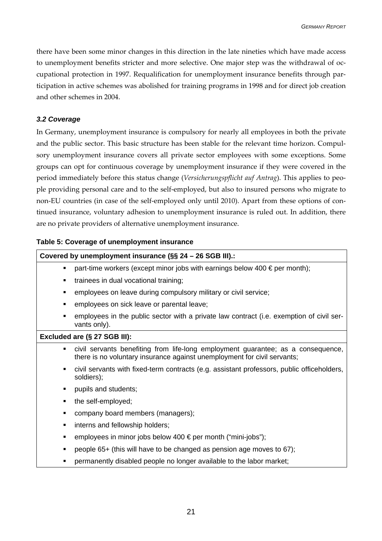<span id="page-22-0"></span>there have been some minor changes in this direction in the late nineties which have made access to unemployment benefits stricter and more selective. One major step was the withdrawal of occupational protection in 1997. Requalification for unemployment insurance benefits through participation in active schemes was abolished for training programs in 1998 and for direct job creation and other schemes in 2004.

## *3.2 Coverage*

In Germany, unemployment insurance is compulsory for nearly all employees in both the private and the public sector. This basic structure has been stable for the relevant time horizon. Compulsory unemployment insurance covers all private sector employees with some exceptions. Some groups can opt for continuous coverage by unemployment insurance if they were covered in the period immediately before this status change (*Versicherungspflicht auf Antrag*). This applies to people providing personal care and to the self-employed, but also to insured persons who migrate to non-EU countries (in case of the self-employed only until 2010). Apart from these options of continued insurance, voluntary adhesion to unemployment insurance is ruled out. In addition, there are no private providers of alternative unemployment insurance.

## **Table 5: Coverage of unemployment insurance**

#### **Covered by unemployment insurance (§§ 24 – 26 SGB III).:**

- part-time workers (except minor jobs with earnings below 400  $\epsilon$  per month);
- **trainees in dual vocational training;**
- employees on leave during compulsory military or civil service;
- employees on sick leave or parental leave;
- employees in the public sector with a private law contract (i.e. exemption of civil servants only).

#### **Excluded are (§ 27 SGB III):**

- civil servants benefiting from life-long employment guarantee; as a consequence, there is no voluntary insurance against unemployment for civil servants;
- civil servants with fixed-term contracts (e.g. assistant professors, public officeholders, soldiers);
- pupils and students;
- the self-employed;
- company board members (managers);
- interns and fellowship holders;
- employees in minor jobs below 400 € per month ("mini-jobs");
- people 65+ (this will have to be changed as pension age moves to 67);
- **EXECTED FEDERITHS FEORM** permanently disabled people no longer available to the labor market: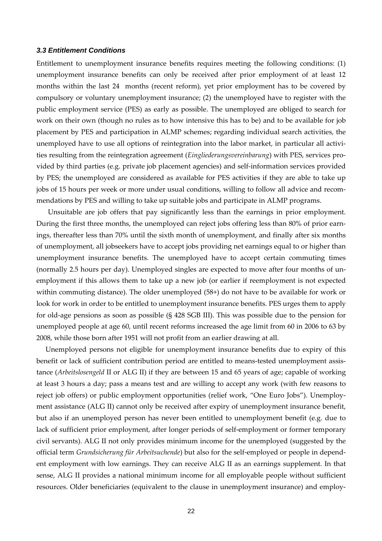#### <span id="page-23-0"></span>*3.3 Entitlement Conditions*

Entitlement to unemployment insurance benefits requires meeting the following conditions: (1) unemployment insurance benefits can only be received after prior employment of at least 12 months within the last 24 months (recent reform), yet prior employment has to be covered by compulsory or voluntary unemployment insurance; (2) the unemployed have to register with the public employment service (PES) as early as possible. The unemployed are obliged to search for work on their own (though no rules as to how intensive this has to be) and to be available for job placement by PES and participation in ALMP schemes; regarding individual search activities, the unemployed have to use all options of reintegration into the labor market, in particular all activities resulting from the reintegration agreement (*Eingliederungsvereinbarung*) with PES, services provided by third parties (e.g. private job placement agencies) and self-information services provided by PES; the unemployed are considered as available for PES activities if they are able to take up jobs of 15 hours per week or more under usual conditions, willing to follow all advice and recommendations by PES and willing to take up suitable jobs and participate in ALMP programs.

Unsuitable are job offers that pay significantly less than the earnings in prior employment. During the first three months, the unemployed can reject jobs offering less than 80% of prior earnings, thereafter less than 70% until the sixth month of unemployment, and finally after six months of unemployment, all jobseekers have to accept jobs providing net earnings equal to or higher than unemployment insurance benefits. The unemployed have to accept certain commuting times (normally 2.5 hours per day). Unemployed singles are expected to move after four months of unemployment if this allows them to take up a new job (or earlier if reemployment is not expected within commuting distance). The older unemployed (58+) do not have to be available for work or look for work in order to be entitled to unemployment insurance benefits. PES urges them to apply for old-age pensions as soon as possible (§ 428 SGB III). This was possible due to the pension for unemployed people at age 60, until recent reforms increased the age limit from 60 in 2006 to 63 by 2008, while those born after 1951 will not profit from an earlier drawing at all.

Unemployed persons not eligible for unemployment insurance benefits due to expiry of this benefit or lack of sufficient contribution period are entitled to means-tested unemployment assistance (*Arbeitslosengeld* II or ALG II) if they are between 15 and 65 years of age; capable of working at least 3 hours a day; pass a means test and are willing to accept any work (with few reasons to reject job offers) or public employment opportunities (relief work, "One Euro Jobs"). Unemployment assistance (ALG II) cannot only be received after expiry of unemployment insurance benefit, but also if an unemployed person has never been entitled to unemployment benefit (e.g. due to lack of sufficient prior employment, after longer periods of self-employment or former temporary civil servants). ALG II not only provides minimum income for the unemployed (suggested by the official term *Grundsicherung für Arbeitsuchende*) but also for the self-employed or people in dependent employment with low earnings. They can receive ALG II as an earnings supplement. In that sense, ALG II provides a national minimum income for all employable people without sufficient resources. Older beneficiaries (equivalent to the clause in unemployment insurance) and employ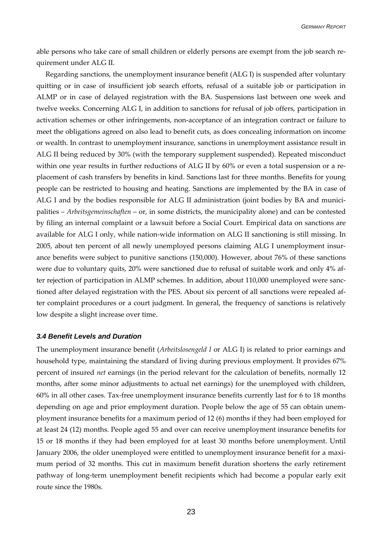<span id="page-24-0"></span>able persons who take care of small children or elderly persons are exempt from the job search requirement under ALG II.

Regarding sanctions, the unemployment insurance benefit (ALG I) is suspended after voluntary quitting or in case of insufficient job search efforts, refusal of a suitable job or participation in ALMP or in case of delayed registration with the BA. Suspensions last between one week and twelve weeks. Concerning ALG I, in addition to sanctions for refusal of job offers, participation in activation schemes or other infringements, non-acceptance of an integration contract or failure to meet the obligations agreed on also lead to benefit cuts, as does concealing information on income or wealth. In contrast to unemployment insurance, sanctions in unemployment assistance result in ALG II being reduced by 30% (with the temporary supplement suspended). Repeated misconduct within one year results in further reductions of ALG II by 60% or even a total suspension or a replacement of cash transfers by benefits in kind. Sanctions last for three months. Benefits for young people can be restricted to housing and heating. Sanctions are implemented by the BA in case of ALG I and by the bodies responsible for ALG II administration (joint bodies by BA and municipalities – *Arbeitsgemeinschaften* – or, in some districts, the municipality alone) and can be contested by filing an internal complaint or a lawsuit before a Social Court. Empirical data on sanctions are available for ALG I only, while nation-wide information on ALG II sanctioning is still missing. In 2005, about ten percent of all newly unemployed persons claiming ALG I unemployment insurance benefits were subject to punitive sanctions (150,000). However, about 76% of these sanctions were due to voluntary quits, 20% were sanctioned due to refusal of suitable work and only 4% after rejection of participation in ALMP schemes. In addition, about 110,000 unemployed were sanctioned after delayed registration with the PES. About six percent of all sanctions were repealed after complaint procedures or a court judgment. In general, the frequency of sanctions is relatively low despite a slight increase over time.

#### *3.4 Benefit Levels and Duration*

The unemployment insurance benefit (*Arbeitslosengeld I* or ALG I) is related to prior earnings and household type, maintaining the standard of living during previous employment. It provides 67% percent of insured *net* earnings (in the period relevant for the calculation of benefits, normally 12 months, after some minor adjustments to actual net earnings) for the unemployed with children, 60% in all other cases. Tax-free unemployment insurance benefits currently last for 6 to 18 months depending on age and prior employment duration. People below the age of 55 can obtain unemployment insurance benefits for a maximum period of 12 (6) months if they had been employed for at least 24 (12) months. People aged 55 and over can receive unemployment insurance benefits for 15 or 18 months if they had been employed for at least 30 months before unemployment. Until January 2006, the older unemployed were entitled to unemployment insurance benefit for a maximum period of 32 months. This cut in maximum benefit duration shortens the early retirement pathway of long-term unemployment benefit recipients which had become a popular early exit route since the 1980s.

23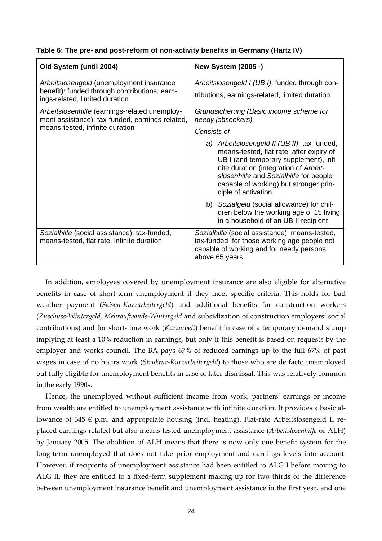| Table 6: The pre- and post-reform of non-activity benefits in Germany (Hartz IV) |  |
|----------------------------------------------------------------------------------|--|
|----------------------------------------------------------------------------------|--|

| Old System (until 2004)                                                                          | <b>New System (2005 -)</b>                                                                                                                                                                                                                                                            |  |  |  |
|--------------------------------------------------------------------------------------------------|---------------------------------------------------------------------------------------------------------------------------------------------------------------------------------------------------------------------------------------------------------------------------------------|--|--|--|
| Arbeitslosengeld (unemployment insurance                                                         | Arbeitslosengeld I (UB I): funded through con-                                                                                                                                                                                                                                        |  |  |  |
| benefit): funded through contributions, earn-<br>ings-related, limited duration                  | tributions, earnings-related, limited duration                                                                                                                                                                                                                                        |  |  |  |
| Arbeitslosenhilfe (earnings-related unemploy-<br>ment assistance): tax-funded, earnings-related, | Grundsicherung (Basic income scheme for<br>needy jobseekers)                                                                                                                                                                                                                          |  |  |  |
| means-tested, infinite duration                                                                  | Consists of                                                                                                                                                                                                                                                                           |  |  |  |
|                                                                                                  | a) Arbeitslosengeld II (UB II): tax-funded,<br>means-tested, flat rate, after expiry of<br>UB I (and temporary supplement), infi-<br>nite duration (integration of Arbeit-<br>slosenhilfe and Sozialhilfe for people<br>capable of working) but stronger prin-<br>ciple of activation |  |  |  |
|                                                                                                  | b) Sozialgeld (social allowance) for chil-<br>dren below the working age of 15 living<br>in a household of an UB II recipient                                                                                                                                                         |  |  |  |
| Sozialhilfe (social assistance): tax-funded,<br>means-tested, flat rate, infinite duration       | Sozialhilfe (social assistance): means-tested,<br>tax-funded for those working age people not<br>capable of working and for needy persons<br>above 65 years                                                                                                                           |  |  |  |

In addition, employees covered by unemployment insurance are also eligible for alternative benefits in case of short-term unemployment if they meet specific criteria. This holds for bad weather payment (*Saison-Kurzarbeitergeld*) and additional benefits for construction workers (*Zuschuss-Wintergeld*, *Mehraufwands-Wintergeld* and subsidization of construction employers' social contributions) and for short-time work (*Kurzarbeit*) benefit in case of a temporary demand slump implying at least a 10% reduction in earnings, but only if this benefit is based on requests by the employer and works council. The BA pays 67% of reduced earnings up to the full 67% of past wages in case of no hours work (*Struktur-Kurzarbeitergeld*) to those who are de facto unemployed but fully eligible for unemployment benefits in case of later dismissal. This was relatively common in the early 1990s.

Hence, the unemployed without sufficient income from work, partners' earnings or income from wealth are entitled to unemployment assistance with infinite duration. It provides a basic allowance of 345  $\epsilon$  p.m. and appropriate housing (incl. heating). Flat-rate Arbeitslosengeld II replaced earnings-related but also means-tested unemployment assistance (*Arbeitslosenhilfe* or ALH) by January 2005. The abolition of ALH means that there is now only one benefit system for the long-term unemployed that does not take prior employment and earnings levels into account. However, if recipients of unemployment assistance had been entitled to ALG I before moving to ALG II, they are entitled to a fixed-term supplement making up for two thirds of the difference between unemployment insurance benefit and unemployment assistance in the first year, and one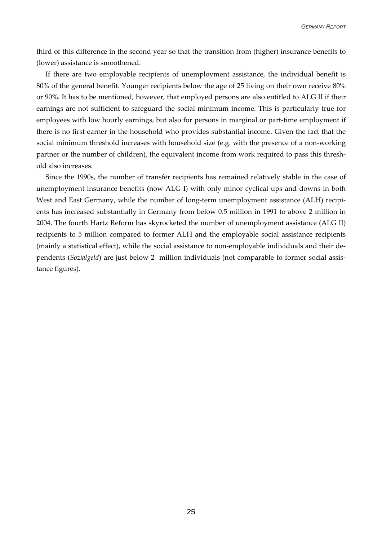third of this difference in the second year so that the transition from (higher) insurance benefits to (lower) assistance is smoothened.

If there are two employable recipients of unemployment assistance, the individual benefit is 80% of the general benefit. Younger recipients below the age of 25 living on their own receive 80% or 90%. It has to be mentioned, however, that employed persons are also entitled to ALG II if their earnings are not sufficient to safeguard the social minimum income. This is particularly true for employees with low hourly earnings, but also for persons in marginal or part-time employment if there is no first earner in the household who provides substantial income. Given the fact that the social minimum threshold increases with household size (e.g. with the presence of a non-working partner or the number of children), the equivalent income from work required to pass this threshold also increases.

Since the 1990s, the number of transfer recipients has remained relatively stable in the case of unemployment insurance benefits (now ALG I) with only minor cyclical ups and downs in both West and East Germany, while the number of long-term unemployment assistance (ALH) recipients has increased substantially in Germany from below 0.5 million in 1991 to above 2 million in 2004. The fourth Hartz Reform has skyrocketed the number of unemployment assistance (ALG II) recipients to 5 million compared to former ALH and the employable social assistance recipients (mainly a statistical effect), while the social assistance to non-employable individuals and their dependents (*Sozialgeld*) are just below 2 million individuals (not comparable to former social assistance figures).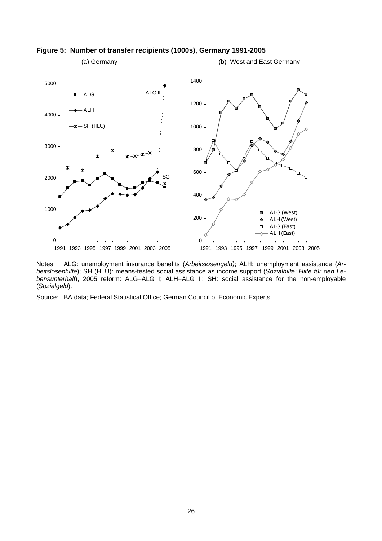

#### **Figure 5: Number of transfer recipients (1000s), Germany 1991-2005**

Notes: ALG: unemployment insurance benefits (*Arbeitslosengeld)*; ALH: unemployment assistance (*Arbeitslosenhilfe*); SH (HLU): means-tested social assistance as income support (*Sozialhilfe: Hilfe für den Lebensunterhalt*), 2005 reform: ALG=ALG I; ALH=ALG II; SH: social assistance for the non-employable (*Sozialgeld*).

Source: BA data; Federal Statistical Office; German Council of Economic Experts.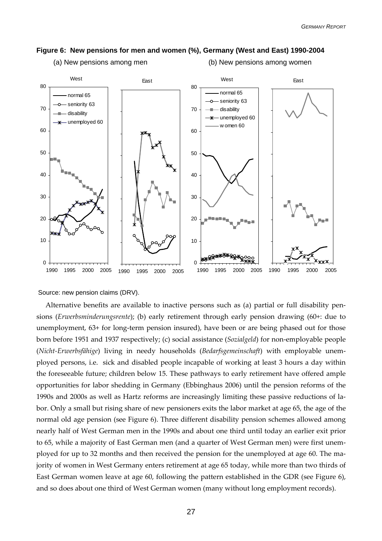

(a) New pensions among men (b) New pensions among women



Source: new pension claims (DRV).

Alternative benefits are available to inactive persons such as (a) partial or full disability pensions (*Erwerbsminderungsrente*); (b) early retirement through early pension drawing (60+: due to unemployment, 63+ for long-term pension insured), have been or are being phased out for those born before 1951 and 1937 respectively; (c) social assistance (*Sozialgeld*) for non-employable people (*Nicht-Erwerbsfähige*) living in needy households (*Bedarfsgemeinschaft*) with employable unemployed persons, i.e. sick and disabled people incapable of working at least 3 hours a day within the foreseeable future; children below 15. These pathways to early retirement have offered ample opportunities for labor shedding in Germany (Ebbinghaus 2006) until the pension reforms of the 1990s and 2000s as well as Hartz reforms are increasingly limiting these passive reductions of labor. Only a small but rising share of new pensioners exits the labor market at age 65, the age of the normal old age pension (see Figure 6). Three different disability pension schemes allowed among nearly half of West German men in the 1990s and about one third until today an earlier exit prior to 65, while a majority of East German men (and a quarter of West German men) were first unemployed for up to 32 months and then received the pension for the unemployed at age 60. The majority of women in West Germany enters retirement at age 65 today, while more than two thirds of East German women leave at age 60, following the pattern established in the GDR (see Figure 6), and so does about one third of West German women (many without long employment records).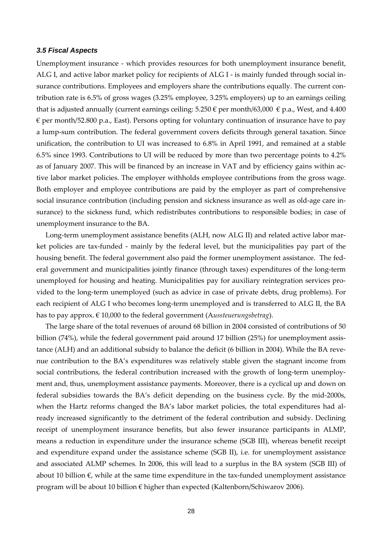#### <span id="page-29-0"></span>*3.5 Fiscal Aspects*

Unemployment insurance - which provides resources for both unemployment insurance benefit, ALG I, and active labor market policy for recipients of ALG I - is mainly funded through social insurance contributions. Employees and employers share the contributions equally. The current contribution rate is 6.5% of gross wages (3.25% employee, 3.25% employers) up to an earnings ceiling that is adjusted annually (current earnings ceiling:  $5.250 \in$  per month/63,000  $\in$  p.a., West, and 4.400  $\epsilon$  per month/52.800 p.a., East). Persons opting for voluntary continuation of insurance have to pay a lump-sum contribution. The federal government covers deficits through general taxation. Since unification, the contribution to UI was increased to 6.8% in April 1991, and remained at a stable 6.5% since 1993. Contributions to UI will be reduced by more than two percentage points to 4.2% as of January 2007. This will be financed by an increase in VAT and by efficiency gains within active labor market policies. The employer withholds employee contributions from the gross wage. Both employer and employee contributions are paid by the employer as part of comprehensive social insurance contribution (including pension and sickness insurance as well as old-age care insurance) to the sickness fund, which redistributes contributions to responsible bodies; in case of unemployment insurance to the BA.

Long-term unemployment assistance benefits (ALH, now ALG II) and related active labor market policies are tax-funded - mainly by the federal level, but the municipalities pay part of the housing benefit. The federal government also paid the former unemployment assistance. The federal government and municipalities jointly finance (through taxes) expenditures of the long-term unemployed for housing and heating. Municipalities pay for auxiliary reintegration services provided to the long-term unemployed (such as advice in case of private debts, drug problems). For each recipient of ALG I who becomes long-term unemployed and is transferred to ALG II, the BA has to pay approx. € 10,000 to the federal government (A*ussteuerungsbetrag*).

The large share of the total revenues of around 68 billion in 2004 consisted of contributions of 50 billion (74%), while the federal government paid around 17 billion (25%) for unemployment assistance (ALH) and an additional subsidy to balance the deficit (6 billion in 2004). While the BA revenue contribution to the BA's expenditures was relatively stable given the stagnant income from social contributions, the federal contribution increased with the growth of long-term unemployment and, thus, unemployment assistance payments. Moreover, there is a cyclical up and down on federal subsidies towards the BA's deficit depending on the business cycle. By the mid-2000s, when the Hartz reforms changed the BA's labor market policies, the total expenditures had already increased significantly to the detriment of the federal contribution and subsidy. Declining receipt of unemployment insurance benefits, but also fewer insurance participants in ALMP, means a reduction in expenditure under the insurance scheme (SGB III), whereas benefit receipt and expenditure expand under the assistance scheme (SGB II), i.e. for unemployment assistance and associated ALMP schemes. In 2006, this will lead to a surplus in the BA system (SGB III) of about 10 billion  $\epsilon$ , while at the same time expenditure in the tax-funded unemployment assistance program will be about 10 billion € higher than expected (Kaltenborn/Schiwarov 2006).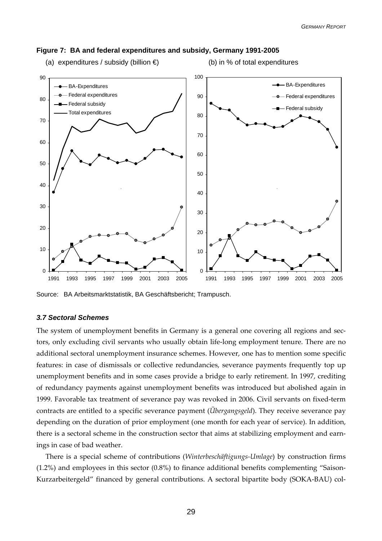

#### <span id="page-30-0"></span>**Figure 7: BA and federal expenditures and subsidy, Germany 1991-2005**

- (a) expenditures / subsidy (billion  $\bigoplus$  (b) in % of total expenditures
	-

Source: BA Arbeitsmarktstatistik, BA Geschäftsbericht; Trampusch.

#### *3.7 Sectoral Schemes*

The system of unemployment benefits in Germany is a general one covering all regions and sectors, only excluding civil servants who usually obtain life-long employment tenure. There are no additional sectoral unemployment insurance schemes. However, one has to mention some specific features: in case of dismissals or collective redundancies, severance payments frequently top up unemployment benefits and in some cases provide a bridge to early retirement. In 1997, crediting of redundancy payments against unemployment benefits was introduced but abolished again in 1999. Favorable tax treatment of severance pay was revoked in 2006. Civil servants on fixed-term contracts are entitled to a specific severance payment (*Übergangsgeld*). They receive severance pay depending on the duration of prior employment (one month for each year of service). In addition, there is a sectoral scheme in the construction sector that aims at stabilizing employment and earnings in case of bad weather.

There is a special scheme of contributions (*Winterbeschäftigungs-Umlage*) by construction firms (1.2%) and employees in this sector (0.8%) to finance additional benefits complementing "Saison-Kurzarbeitergeld" financed by general contributions. A sectoral bipartite body (SOKA-BAU) col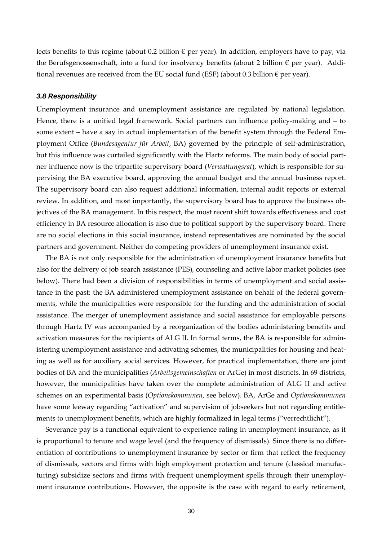<span id="page-31-0"></span>lects benefits to this regime (about 0.2 billion  $\epsilon$  per year). In addition, employers have to pay, via the Berufsgenossenschaft, into a fund for insolvency benefits (about 2 billion  $\epsilon$  per year). Additional revenues are received from the EU social fund (ESF) (about 0.3 billion  $\epsilon$  per year).

#### *3.8 Responsibility*

Unemployment insurance and unemployment assistance are regulated by national legislation. Hence, there is a unified legal framework. Social partners can influence policy-making and – to some extent – have a say in actual implementation of the benefit system through the Federal Employment Office (*Bundesagentur für Arbeit*, BA) governed by the principle of self-administration, but this influence was curtailed significantly with the Hartz reforms. The main body of social partner influence now is the tripartite supervisory board (*Verwaltungsrat*), which is responsible for supervising the BA executive board, approving the annual budget and the annual business report. The supervisory board can also request additional information, internal audit reports or external review. In addition, and most importantly, the supervisory board has to approve the business objectives of the BA management. In this respect, the most recent shift towards effectiveness and cost efficiency in BA resource allocation is also due to political support by the supervisory board. There are no social elections in this social insurance, instead representatives are nominated by the social partners and government. Neither do competing providers of unemployment insurance exist.

The BA is not only responsible for the administration of unemployment insurance benefits but also for the delivery of job search assistance (PES), counseling and active labor market policies (see below). There had been a division of responsibilities in terms of unemployment and social assistance in the past: the BA administered unemployment assistance on behalf of the federal governments, while the municipalities were responsible for the funding and the administration of social assistance. The merger of unemployment assistance and social assistance for employable persons through Hartz IV was accompanied by a reorganization of the bodies administering benefits and activation measures for the recipients of ALG II. In formal terms, the BA is responsible for administering unemployment assistance and activating schemes, the municipalities for housing and heating as well as for auxiliary social services. However, for practical implementation, there are joint bodies of BA and the municipalities (*Arbeitsgemeinschaften* or ArGe) in most districts. In 69 districts, however, the municipalities have taken over the complete administration of ALG II and active schemes on an experimental basis (*Optionskommunen*, see below). BA, ArGe and *Optionskommunen* have some leeway regarding "activation" and supervision of jobseekers but not regarding entitlements to unemployment benefits, which are highly formalized in legal terms ("verrechtlicht").

Severance pay is a functional equivalent to experience rating in unemployment insurance, as it is proportional to tenure and wage level (and the frequency of dismissals). Since there is no differentiation of contributions to unemployment insurance by sector or firm that reflect the frequency of dismissals, sectors and firms with high employment protection and tenure (classical manufacturing) subsidize sectors and firms with frequent unemployment spells through their unemployment insurance contributions. However, the opposite is the case with regard to early retirement,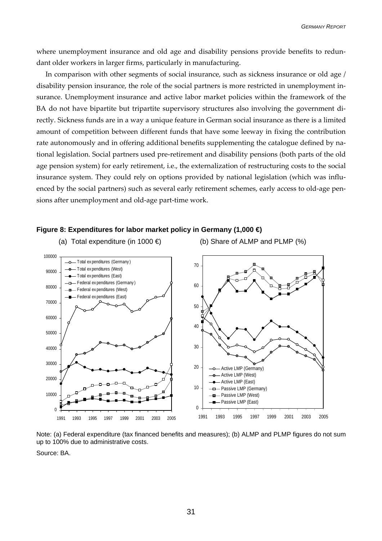where unemployment insurance and old age and disability pensions provide benefits to redundant older workers in larger firms, particularly in manufacturing.

In comparison with other segments of social insurance, such as sickness insurance or old age / disability pension insurance, the role of the social partners is more restricted in unemployment insurance. Unemployment insurance and active labor market policies within the framework of the BA do not have bipartite but tripartite supervisory structures also involving the government directly. Sickness funds are in a way a unique feature in German social insurance as there is a limited amount of competition between different funds that have some leeway in fixing the contribution rate autonomously and in offering additional benefits supplementing the catalogue defined by national legislation. Social partners used pre-retirement and disability pensions (both parts of the old age pension system) for early retirement, i.e., the externalization of restructuring costs to the social insurance system. They could rely on options provided by national legislation (which was influenced by the social partners) such as several early retirement schemes, early access to old-age pensions after unemployment and old-age part-time work.



**Figure 8: Expenditures for labor market policy in Germany (1,000 €)** 

Note: (a) Federal expenditure (tax financed benefits and measures); (b) ALMP and PLMP figures do not sum up to 100% due to administrative costs.

Source: BA.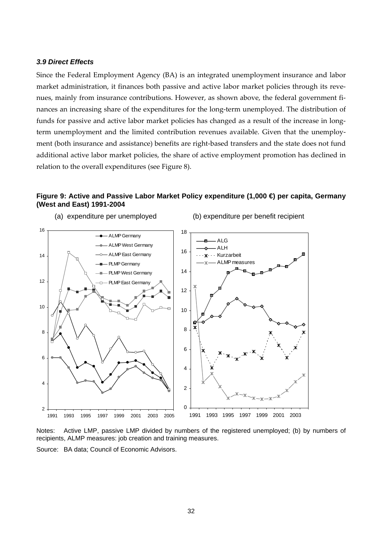#### <span id="page-33-0"></span>*3.9 Direct Effects*

Since the Federal Employment Agency (BA) is an integrated unemployment insurance and labor market administration, it finances both passive and active labor market policies through its revenues, mainly from insurance contributions. However, as shown above, the federal government finances an increasing share of the expenditures for the long-term unemployed. The distribution of funds for passive and active labor market policies has changed as a result of the increase in longterm unemployment and the limited contribution revenues available. Given that the unemployment (both insurance and assistance) benefits are right-based transfers and the state does not fund additional active labor market policies, the share of active employment promotion has declined in relation to the overall expenditures (see Figure 8).

#### **Figure 9: Active and Passive Labor Market Policy expenditure (1,000 €) per capita, Germany (West and East) 1991-2004**



Notes: Active LMP, passive LMP divided by numbers of the registered unemployed; (b) by numbers of recipients, ALMP measures: job creation and training measures.

Source: BA data; Council of Economic Advisors.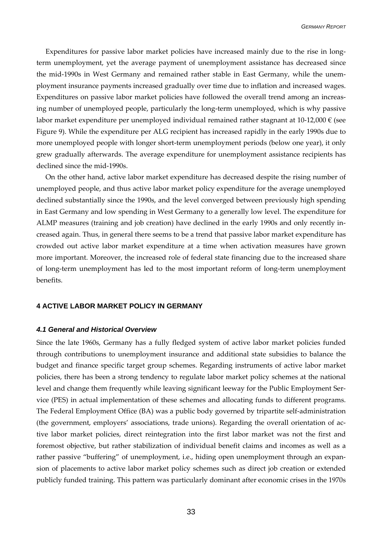<span id="page-34-0"></span>Expenditures for passive labor market policies have increased mainly due to the rise in longterm unemployment, yet the average payment of unemployment assistance has decreased since the mid-1990s in West Germany and remained rather stable in East Germany, while the unemployment insurance payments increased gradually over time due to inflation and increased wages. Expenditures on passive labor market policies have followed the overall trend among an increasing number of unemployed people, particularly the long-term unemployed, which is why passive labor market expenditure per unemployed individual remained rather stagnant at 10-12,000 € (see Figure 9). While the expenditure per ALG recipient has increased rapidly in the early 1990s due to more unemployed people with longer short-term unemployment periods (below one year), it only grew gradually afterwards. The average expenditure for unemployment assistance recipients has declined since the mid-1990s.

On the other hand, active labor market expenditure has decreased despite the rising number of unemployed people, and thus active labor market policy expenditure for the average unemployed declined substantially since the 1990s, and the level converged between previously high spending in East Germany and low spending in West Germany to a generally low level. The expenditure for ALMP measures (training and job creation) have declined in the early 1990s and only recently increased again. Thus, in general there seems to be a trend that passive labor market expenditure has crowded out active labor market expenditure at a time when activation measures have grown more important. Moreover, the increased role of federal state financing due to the increased share of long-term unemployment has led to the most important reform of long-term unemployment benefits.

#### **4 ACTIVE LABOR MARKET POLICY IN GERMANY**

#### *4.1 General and Historical Overview*

Since the late 1960s, Germany has a fully fledged system of active labor market policies funded through contributions to unemployment insurance and additional state subsidies to balance the budget and finance specific target group schemes. Regarding instruments of active labor market policies, there has been a strong tendency to regulate labor market policy schemes at the national level and change them frequently while leaving significant leeway for the Public Employment Service (PES) in actual implementation of these schemes and allocating funds to different programs. The Federal Employment Office (BA) was a public body governed by tripartite self-administration (the government, employers' associations, trade unions). Regarding the overall orientation of active labor market policies, direct reintegration into the first labor market was not the first and foremost objective, but rather stabilization of individual benefit claims and incomes as well as a rather passive "buffering" of unemployment, i.e., hiding open unemployment through an expansion of placements to active labor market policy schemes such as direct job creation or extended publicly funded training. This pattern was particularly dominant after economic crises in the 1970s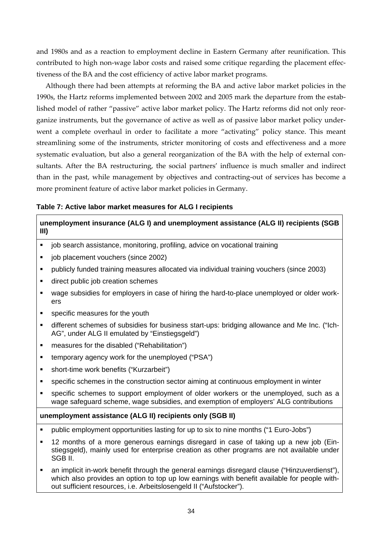and 1980s and as a reaction to employment decline in Eastern Germany after reunification. This contributed to high non-wage labor costs and raised some critique regarding the placement effectiveness of the BA and the cost efficiency of active labor market programs.

Although there had been attempts at reforming the BA and active labor market policies in the 1990s, the Hartz reforms implemented between 2002 and 2005 mark the departure from the established model of rather "passive" active labor market policy. The Hartz reforms did not only reorganize instruments, but the governance of active as well as of passive labor market policy underwent a complete overhaul in order to facilitate a more "activating" policy stance. This meant streamlining some of the instruments, stricter monitoring of costs and effectiveness and a more systematic evaluation, but also a general reorganization of the BA with the help of external consultants. After the BA restructuring, the social partners' influence is much smaller and indirect than in the past, while management by objectives and contracting-out of services has become a more prominent feature of active labor market policies in Germany.

#### **Table 7: Active labor market measures for ALG I recipients**

# **unemployment insurance (ALG I) and unemployment assistance (ALG II) recipients (SGB III)**

- iob search assistance, monitoring, profiling, advice on vocational training
- job placement vouchers (since 2002)
- publicly funded training measures allocated via individual training vouchers (since 2003)
- direct public job creation schemes
- wage subsidies for employers in case of hiring the hard-to-place unemployed or older workers
- **specific measures for the youth**
- different schemes of subsidies for business start-ups: bridging allowance and Me Inc. ("Ich-AG", under ALG II emulated by "Einstiegsgeld")
- **EXEC** measures for the disabled ("Rehabilitation")
- temporary agency work for the unemployed ("PSA")
- short-time work benefits ("Kurzarbeit")
- specific schemes in the construction sector aiming at continuous employment in winter
- specific schemes to support employment of older workers or the unemployed, such as a wage safeguard scheme, wage subsidies, and exemption of employers' ALG contributions

## **unemployment assistance (ALG II) recipients only (SGB II)**

- public employment opportunities lasting for up to six to nine months ("1 Euro-Jobs")
- 12 months of a more generous earnings disregard in case of taking up a new job (Einstiegsgeld), mainly used for enterprise creation as other programs are not available under SGB II.
- an implicit in-work benefit through the general earnings disregard clause ("Hinzuverdienst"), which also provides an option to top up low earnings with benefit available for people without sufficient resources, i.e. Arbeitslosengeld II ("Aufstocker").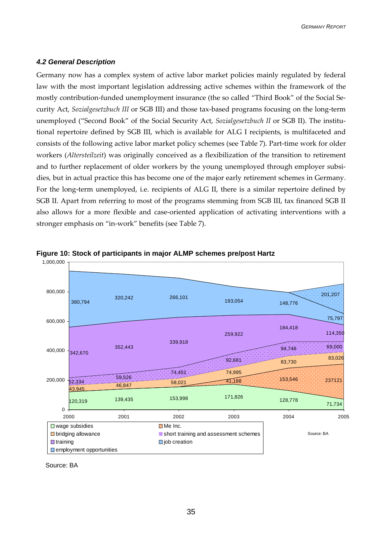#### <span id="page-36-0"></span>*4.2 General Description*

Germany now has a complex system of active labor market policies mainly regulated by federal law with the most important legislation addressing active schemes within the framework of the mostly contribution-funded unemployment insurance (the so called "Third Book" of the Social Security Act, *Sozialgesetzbuch III* or SGB III) and those tax-based programs focusing on the long-term unemployed ("Second Book" of the Social Security Act, *Sozialgesetzbuch II* or SGB II). The institutional repertoire defined by SGB III, which is available for ALG I recipients, is multifaceted and consists of the following active labor market policy schemes (see Table 7). Part-time work for older workers (*Altersteilzeit*) was originally conceived as a flexibilization of the transition to retirement and to further replacement of older workers by the young unemployed through employer subsidies, but in actual practice this has become one of the major early retirement schemes in Germany. For the long-term unemployed, i.e. recipients of ALG II, there is a similar repertoire defined by SGB II. Apart from referring to most of the programs stemming from SGB III, tax financed SGB II also allows for a more flexible and case-oriented application of activating interventions with a stronger emphasis on "in-work" benefits (see Table 7).





Source: BA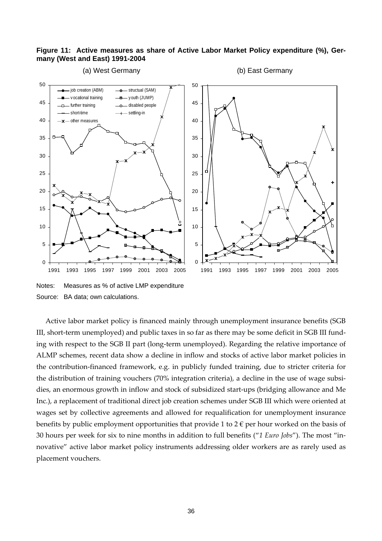#### **Figure 11: Active measures as share of Active Labor Market Policy expenditure (%), Germany (West and East) 1991-2004**



Notes: Measures as % of active LMP expenditure Source: BA data; own calculations.

Active labor market policy is financed mainly through unemployment insurance benefits (SGB III, short-term unemployed) and public taxes in so far as there may be some deficit in SGB III funding with respect to the SGB II part (long-term unemployed). Regarding the relative importance of ALMP schemes, recent data show a decline in inflow and stocks of active labor market policies in the contribution-financed framework, e.g. in publicly funded training, due to stricter criteria for the distribution of training vouchers (70% integration criteria), a decline in the use of wage subsidies, an enormous growth in inflow and stock of subsidized start-ups (bridging allowance and Me Inc.), a replacement of traditional direct job creation schemes under SGB III which were oriented at wages set by collective agreements and allowed for requalification for unemployment insurance benefits by public employment opportunities that provide 1 to 2 $\epsilon$  per hour worked on the basis of 30 hours per week for six to nine months in addition to full benefits ("*1 Euro Jobs*"). The most "innovative" active labor market policy instruments addressing older workers are as rarely used as placement vouchers.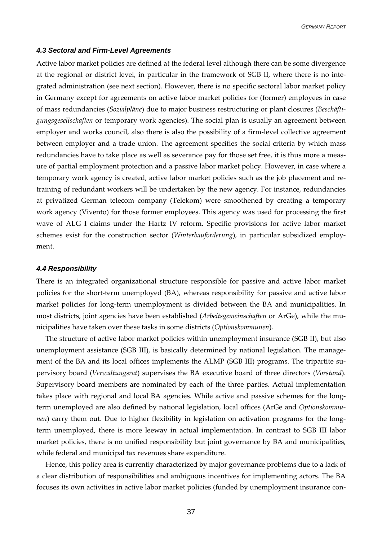#### <span id="page-38-0"></span>*4.3 Sectoral and Firm-Level Agreements*

Active labor market policies are defined at the federal level although there can be some divergence at the regional or district level, in particular in the framework of SGB II, where there is no integrated administration (see next section). However, there is no specific sectoral labor market policy in Germany except for agreements on active labor market policies for (former) employees in case of mass redundancies (*Sozialpläne*) due to major business restructuring or plant closures (*Beschäftigungsgesellschaften* or temporary work agencies). The social plan is usually an agreement between employer and works council, also there is also the possibility of a firm-level collective agreement between employer and a trade union. The agreement specifies the social criteria by which mass redundancies have to take place as well as severance pay for those set free, it is thus more a measure of partial employment protection and a passive labor market policy. However, in case where a temporary work agency is created, active labor market policies such as the job placement and retraining of redundant workers will be undertaken by the new agency. For instance, redundancies at privatized German telecom company (Telekom) were smoothened by creating a temporary work agency (Vivento) for those former employees. This agency was used for processing the first wave of ALG I claims under the Hartz IV reform. Specific provisions for active labor market schemes exist for the construction sector (*Winterbauförderung*), in particular subsidized employment.

#### *4.4 Responsibility*

There is an integrated organizational structure responsible for passive and active labor market policies for the short-term unemployed (BA), whereas responsibility for passive and active labor market policies for long-term unemployment is divided between the BA and municipalities. In most districts, joint agencies have been established (*Arbeitsgemeinschaften* or ArGe), while the municipalities have taken over these tasks in some districts (*Optionskommunen*).

The structure of active labor market policies within unemployment insurance (SGB II), but also unemployment assistance (SGB III), is basically determined by national legislation. The management of the BA and its local offices implements the ALMP (SGB III) programs. The tripartite supervisory board (*Verwaltungsrat*) supervises the BA executive board of three directors (*Vorstand*). Supervisory board members are nominated by each of the three parties. Actual implementation takes place with regional and local BA agencies. While active and passive schemes for the longterm unemployed are also defined by national legislation, local offices (ArGe and *Optionskommunen*) carry them out. Due to higher flexibility in legislation on activation programs for the longterm unemployed, there is more leeway in actual implementation. In contrast to SGB III labor market policies, there is no unified responsibility but joint governance by BA and municipalities, while federal and municipal tax revenues share expenditure.

Hence, this policy area is currently characterized by major governance problems due to a lack of a clear distribution of responsibilities and ambiguous incentives for implementing actors. The BA focuses its own activities in active labor market policies (funded by unemployment insurance con-

37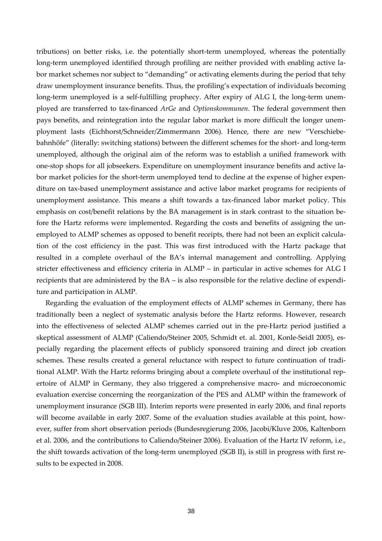tributions) on better risks, i.e. the potentially short-term unemployed, whereas the potentially long-term unemployed identified through profiling are neither provided with enabling active labor market schemes nor subject to "demanding" or activating elements during the period that tehy draw unemployment insurance benefits. Thus, the profiling's expectation of individuals becoming long-term unemployed is a self-fulfilling prophecy. After expiry of ALG I, the long-term unemployed are transferred to tax-financed *ArGe* and *Optionskommunen*. The federal government then pays benefits, and reintegration into the regular labor market is more difficult the longer unemployment lasts (Eichhorst/Schneider/Zimmermann 2006). Hence, there are new "Verschiebebahnhöfe" (literally: switching stations) between the different schemes for the short- and long-term unemployed, although the original aim of the reform was to establish a unified framework with one-stop shops for all jobseekers. Expenditure on unemployment insurance benefits and active labor market policies for the short-term unemployed tend to decline at the expense of higher expenditure on tax-based unemployment assistance and active labor market programs for recipients of unemployment assistance. This means a shift towards a tax-financed labor market policy. This emphasis on cost/benefit relations by the BA management is in stark contrast to the situation before the Hartz reforms were implemented. Regarding the costs and benefits of assigning the unemployed to ALMP schemes as opposed to benefit receipts, there had not been an explicit calculation of the cost efficiency in the past. This was first introduced with the Hartz package that resulted in a complete overhaul of the BA's internal management and controlling. Applying stricter effectiveness and efficiency criteria in ALMP – in particular in active schemes for ALG I recipients that are administered by the BA – is also responsible for the relative decline of expenditure and participation in ALMP.

Regarding the evaluation of the employment effects of ALMP schemes in Germany, there has traditionally been a neglect of systematic analysis before the Hartz reforms. However, research into the effectiveness of selected ALMP schemes carried out in the pre-Hartz period justified a skeptical assessment of ALMP (Caliendo/Steiner 2005, Schmidt et. al. 2001, Konle-Seidl 2005), especially regarding the placement effects of publicly sponsored training and direct job creation schemes. These results created a general reluctance with respect to future continuation of traditional ALMP. With the Hartz reforms bringing about a complete overhaul of the institutional repertoire of ALMP in Germany, they also triggered a comprehensive macro- and microeconomic evaluation exercise concerning the reorganization of the PES and ALMP within the framework of unemployment insurance (SGB III). Interim reports were presented in early 2006, and final reports will become available in early 2007. Some of the evaluation studies available at this point, however, suffer from short observation periods (Bundesregierung 2006, Jacobi/Kluve 2006, Kaltenborn et al. 2006, and the contributions to Caliendo/Steiner 2006). Evaluation of the Hartz IV reform, i.e., the shift towards activation of the long-term unemployed (SGB II), is still in progress with first results to be expected in 2008.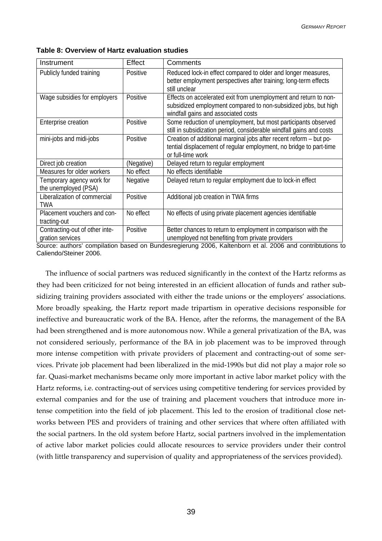| Instrument                                        | Effect     | Comments                                                                                                                                                                   |
|---------------------------------------------------|------------|----------------------------------------------------------------------------------------------------------------------------------------------------------------------------|
| Publicly funded training                          | Positive   | Reduced lock-in effect compared to older and longer measures,<br>better employment perspectives after training; long-term effects<br>still unclear                         |
| Wage subsidies for employers                      | Positive   | Effects on accelerated exit from unemployment and return to non-<br>subsidized employment compared to non-subsidized jobs, but high<br>windfall gains and associated costs |
| Enterprise creation                               | Positive   | Some reduction of unemployment, but most participants observed<br>still in subsidization period, considerable windfall gains and costs                                     |
| mini-jobs and midi-jobs                           | Positive   | Creation of additional marginal jobs after recent reform - but po-<br>tential displacement of regular employment, no bridge to part-time<br>or full-time work              |
| Direct job creation                               | (Negative) | Delayed return to regular employment                                                                                                                                       |
| Measures for older workers                        | No effect  | No effects identifiable                                                                                                                                                    |
| Temporary agency work for<br>the unemployed (PSA) | Negative   | Delayed return to regular employment due to lock-in effect                                                                                                                 |
| Liberalization of commercial<br><b>TWA</b>        | Positive   | Additional job creation in TWA firms                                                                                                                                       |
| Placement vouchers and con-<br>tracting-out       | No effect  | No effects of using private placement agencies identifiable                                                                                                                |
| Contracting-out of other inte-                    | Positive   | Better chances to return to employment in comparison with the                                                                                                              |

**Table 8: Overview of Hartz evaluation studies** 

gration services

Source: authors' compilation based on Bundesregierung 2006, Kaltenborn et al. 2006 and contribtutions to Caliendo/Steiner 2006.

unemployed not benefiting from private providers

The influence of social partners was reduced significantly in the context of the Hartz reforms as they had been criticized for not being interested in an efficient allocation of funds and rather subsidizing training providers associated with either the trade unions or the employers' associations. More broadly speaking, the Hartz report made tripartism in operative decisions responsible for ineffective and bureaucratic work of the BA. Hence, after the reforms, the management of the BA had been strengthened and is more autonomous now. While a general privatization of the BA, was not considered seriously, performance of the BA in job placement was to be improved through more intense competition with private providers of placement and contracting-out of some services. Private job placement had been liberalized in the mid-1990s but did not play a major role so far. Quasi-market mechanisms became only more important in active labor market policy with the Hartz reforms, i.e. contracting-out of services using competitive tendering for services provided by external companies and for the use of training and placement vouchers that introduce more intense competition into the field of job placement. This led to the erosion of traditional close networks between PES and providers of training and other services that where often affiliated with the social partners. In the old system before Hartz, social partners involved in the implementation of active labor market policies could allocate resources to service providers under their control (with little transparency and supervision of quality and appropriateness of the services provided).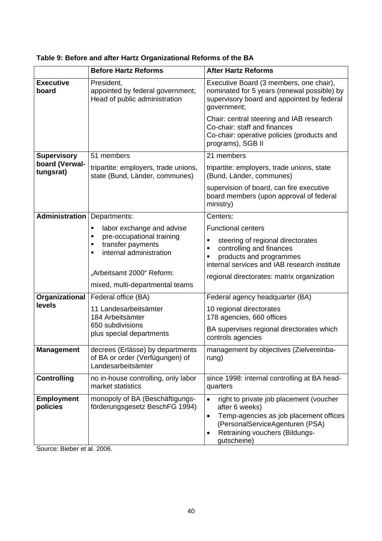|                               | <b>Before Hartz Reforms</b>                                                                           | <b>After Hartz Reforms</b>                                                                                                                                                                                        |  |  |
|-------------------------------|-------------------------------------------------------------------------------------------------------|-------------------------------------------------------------------------------------------------------------------------------------------------------------------------------------------------------------------|--|--|
| <b>Executive</b><br>board     | President,<br>appointed by federal government;<br>Head of public administration                       | Executive Board (3 members, one chair),<br>nominated for 5 years (renewal possible) by<br>supervisory board and appointed by federal<br>government;                                                               |  |  |
|                               |                                                                                                       | Chair: central steering and IAB research<br>Co-chair: staff and finances<br>Co-chair: operative policies (products and<br>programs), SGB II                                                                       |  |  |
| <b>Supervisory</b>            | 51 members                                                                                            | 21 members                                                                                                                                                                                                        |  |  |
| board (Verwal-<br>tungsrat)   | tripartite: employers, trade unions,<br>state (Bund, Länder, communes)                                | tripartite: employers, trade unions, state<br>(Bund, Länder, communes)                                                                                                                                            |  |  |
|                               |                                                                                                       | supervision of board, can fire executive<br>board members (upon approval of federal<br>ministry)                                                                                                                  |  |  |
| <b>Administration</b>         | Departments:                                                                                          | Centers:                                                                                                                                                                                                          |  |  |
|                               | labor exchange and advise<br>٠                                                                        | <b>Functional centers</b>                                                                                                                                                                                         |  |  |
|                               | pre-occupational training<br>$\blacksquare$<br>transfer payments<br>٠<br>internal administration<br>٠ | steering of regional directorates<br>$\blacksquare$<br>controlling and finances<br>$\blacksquare$<br>products and programmes<br>٠<br>internal services and IAB research institute                                 |  |  |
|                               | "Arbeitsamt 2000" Reform:<br>mixed, multi-departmental teams                                          | regional directorates: matrix organization                                                                                                                                                                        |  |  |
| Organizational                | Federal office (BA)                                                                                   | Federal agency headquarter (BA)                                                                                                                                                                                   |  |  |
| levels                        | 11 Landesarbeitsämter<br>184 Arbeitsämter                                                             | 10 regional directorates<br>178 agencies, 660 offices                                                                                                                                                             |  |  |
|                               | 650 subdivisions<br>plus special departments                                                          | BA supervises regional directorates which<br>controls agencies                                                                                                                                                    |  |  |
| <b>Management</b>             | decrees (Erlässe) by departments<br>of BA or order (Verfügungen) of<br>Landesarbeitsämter             | management by objectives (Zielvereinba-<br>rung)                                                                                                                                                                  |  |  |
| <b>Controlling</b>            | no in-house controlling, only labor<br>market statistics                                              | since 1998: internal controlling at BA head-<br>quarters                                                                                                                                                          |  |  |
| <b>Employment</b><br>policies | monopoly of BA (Beschäftigungs-<br>förderungsgesetz BeschFG 1994)                                     | right to private job placement (voucher<br>after 6 weeks)<br>Temp-agencies as job placement offices<br>$\bullet$<br>(PersonalServiceAgenturen (PSA)<br>Retraining vouchers (Bildungs-<br>$\bullet$<br>gutscheine) |  |  |

**Table 9: Before and after Hartz Organizational Reforms of the BA** 

Source: Bieber et al. 2006.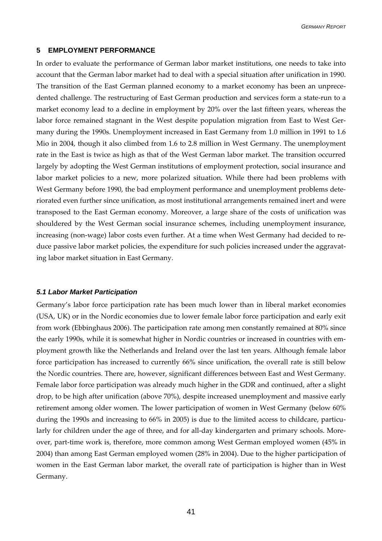#### <span id="page-42-0"></span>**5 EMPLOYMENT PERFORMANCE**

In order to evaluate the performance of German labor market institutions, one needs to take into account that the German labor market had to deal with a special situation after unification in 1990. The transition of the East German planned economy to a market economy has been an unprecedented challenge. The restructuring of East German production and services form a state-run to a market economy lead to a decline in employment by 20% over the last fifteen years, whereas the labor force remained stagnant in the West despite population migration from East to West Germany during the 1990s. Unemployment increased in East Germany from 1.0 million in 1991 to 1.6 Mio in 2004, though it also climbed from 1.6 to 2.8 million in West Germany. The unemployment rate in the East is twice as high as that of the West German labor market. The transition occurred largely by adopting the West German institutions of employment protection, social insurance and labor market policies to a new, more polarized situation. While there had been problems with West Germany before 1990, the bad employment performance and unemployment problems deteriorated even further since unification, as most institutional arrangements remained inert and were transposed to the East German economy. Moreover, a large share of the costs of unification was shouldered by the West German social insurance schemes, including unemployment insurance, increasing (non-wage) labor costs even further. At a time when West Germany had decided to reduce passive labor market policies, the expenditure for such policies increased under the aggravating labor market situation in East Germany.

#### *5.1 Labor Market Participation*

Germany's labor force participation rate has been much lower than in liberal market economies (USA, UK) or in the Nordic economies due to lower female labor force participation and early exit from work (Ebbinghaus 2006). The participation rate among men constantly remained at 80% since the early 1990s, while it is somewhat higher in Nordic countries or increased in countries with employment growth like the Netherlands and Ireland over the last ten years. Although female labor force participation has increased to currently 66% since unification, the overall rate is still below the Nordic countries. There are, however, significant differences between East and West Germany. Female labor force participation was already much higher in the GDR and continued, after a slight drop, to be high after unification (above 70%), despite increased unemployment and massive early retirement among older women. The lower participation of women in West Germany (below 60% during the 1990s and increasing to 66% in 2005) is due to the limited access to childcare, particularly for children under the age of three, and for all-day kindergarten and primary schools. Moreover, part-time work is, therefore, more common among West German employed women (45% in 2004) than among East German employed women (28% in 2004). Due to the higher participation of women in the East German labor market, the overall rate of participation is higher than in West Germany.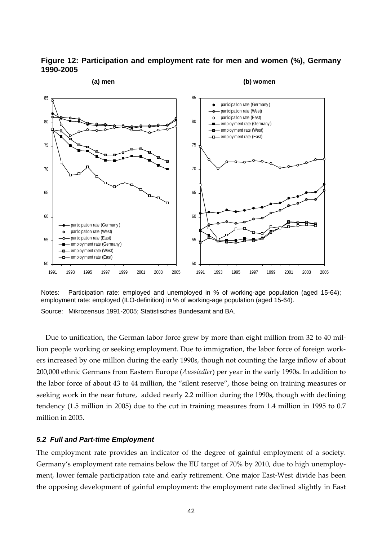<span id="page-43-0"></span>



Notes: Participation rate: employed and unemployed in % of working-age population (aged 15-64); employment rate: employed (ILO-definition) in % of working-age population (aged 15-64). Source: Mikrozensus 1991-2005; Statistisches Bundesamt and BA.

Due to unification, the German labor force grew by more than eight million from 32 to 40 million people working or seeking employment. Due to immigration, the labor force of foreign workers increased by one million during the early 1990s, though not counting the large inflow of about 200,000 ethnic Germans from Eastern Europe (*Aussiedler*) per year in the early 1990s. In addition to the labor force of about 43 to 44 million, the "silent reserve", those being on training measures or seeking work in the near future, added nearly 2.2 million during the 1990s, though with declining tendency (1.5 million in 2005) due to the cut in training measures from 1.4 million in 1995 to 0.7 million in 2005.

#### *5.2 Full and Part-time Employment*

The employment rate provides an indicator of the degree of gainful employment of a society. Germany's employment rate remains below the EU target of 70% by 2010, due to high unemployment, lower female participation rate and early retirement. One major East-West divide has been the opposing development of gainful employment: the employment rate declined slightly in East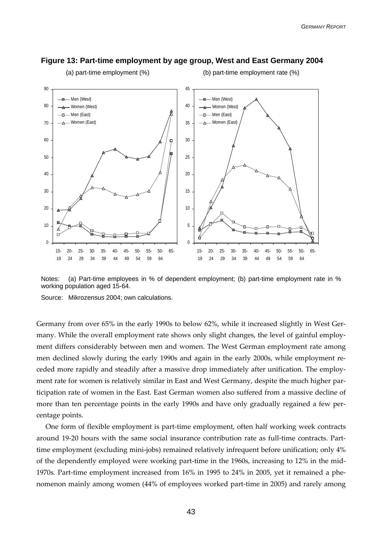

#### **Figure 13: Part-time employment by age group, West and East Germany 2004**

Notes: (a) Part-time employees in % of dependent employment; (b) part-time employment rate in % working population aged 15-64.

Source: Mikrozensus 2004; own calculations.

Germany from over 65% in the early 1990s to below 62%, while it increased slightly in West Germany. While the overall employment rate shows only slight changes, the level of gainful employment differs considerably between men and women. The West German employment rate among men declined slowly during the early 1990s and again in the early 2000s, while employment receded more rapidly and steadily after a massive drop immediately after unification. The employment rate for women is relatively similar in East and West Germany, despite the much higher participation rate of women in the East. East German women also suffered from a massive decline of more than ten percentage points in the early 1990s and have only gradually regained a few percentage points.

One form of flexible employment is part-time employment, often half working week contracts around 19-20 hours with the same social insurance contribution rate as full-time contracts. Parttime employment (excluding mini-jobs) remained relatively infrequent before unification; only 4% of the dependently employed were working part-time in the 1960s, increasing to 12% in the mid-1970s. Part-time employment increased from 16% in 1995 to 24% in 2005, yet it remained a phenomenon mainly among women (44% of employees worked part-time in 2005) and rarely among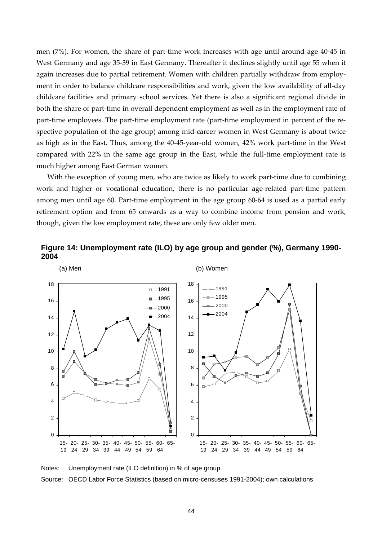men (7%). For women, the share of part-time work increases with age until around age 40-45 in West Germany and age 35-39 in East Germany. Thereafter it declines slightly until age 55 when it again increases due to partial retirement. Women with children partially withdraw from employment in order to balance childcare responsibilities and work, given the low availability of all-day childcare facilities and primary school services. Yet there is also a significant regional divide in both the share of part-time in overall dependent employment as well as in the employment rate of part-time employees. The part-time employment rate (part-time employment in percent of the respective population of the age group) among mid-career women in West Germany is about twice as high as in the East. Thus, among the 40-45-year-old women, 42% work part-time in the West compared with 22% in the same age group in the East, while the full-time employment rate is much higher among East German women.

With the exception of young men, who are twice as likely to work part-time due to combining work and higher or vocational education, there is no particular age-related part-time pattern among men until age 60. Part-time employment in the age group 60-64 is used as a partial early retirement option and from 65 onwards as a way to combine income from pension and work, though, given the low employment rate, these are only few older men.





Notes: Unemployment rate (ILO definition) in % of age group.

Source: OECD Labor Force Statistics (based on micro-censuses 1991-2004); own calculations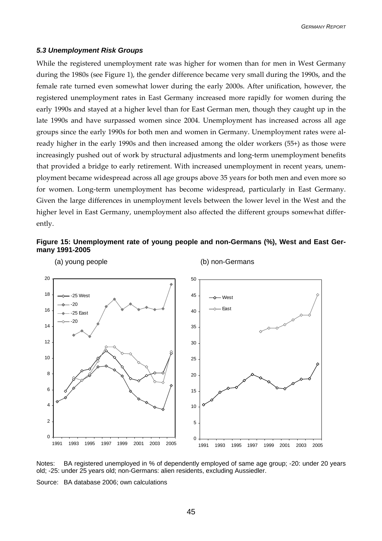#### <span id="page-46-0"></span>*5.3 Unemployment Risk Groups*

While the registered unemployment rate was higher for women than for men in West Germany during the 1980s (see Figure 1), the gender difference became very small during the 1990s, and the female rate turned even somewhat lower during the early 2000s. After unification, however, the registered unemployment rates in East Germany increased more rapidly for women during the early 1990s and stayed at a higher level than for East German men, though they caught up in the late 1990s and have surpassed women since 2004. Unemployment has increased across all age groups since the early 1990s for both men and women in Germany. Unemployment rates were already higher in the early 1990s and then increased among the older workers (55+) as those were increasingly pushed out of work by structural adjustments and long-term unemployment benefits that provided a bridge to early retirement. With increased unemployment in recent years, unemployment became widespread across all age groups above 35 years for both men and even more so for women. Long-term unemployment has become widespread, particularly in East Germany. Given the large differences in unemployment levels between the lower level in the West and the higher level in East Germany, unemployment also affected the different groups somewhat differently.





Notes: BA registered unemployed in % of dependently employed of same age group; -20: under 20 years old; -25: under 25 years old; non-Germans: alien residents, excluding Aussiedler.

Source: BA database 2006; own calculations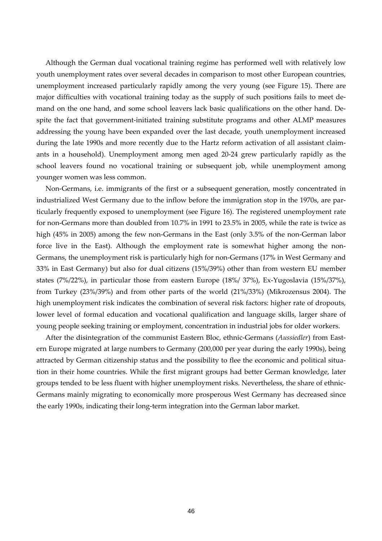Although the German dual vocational training regime has performed well with relatively low youth unemployment rates over several decades in comparison to most other European countries, unemployment increased particularly rapidly among the very young (see Figure 15). There are major difficulties with vocational training today as the supply of such positions fails to meet demand on the one hand, and some school leavers lack basic qualifications on the other hand. Despite the fact that government-initiated training substitute programs and other ALMP measures addressing the young have been expanded over the last decade, youth unemployment increased during the late 1990s and more recently due to the Hartz reform activation of all assistant claimants in a household). Unemployment among men aged 20-24 grew particularly rapidly as the school leavers found no vocational training or subsequent job, while unemployment among younger women was less common.

Non-Germans, i.e. immigrants of the first or a subsequent generation, mostly concentrated in industrialized West Germany due to the inflow before the immigration stop in the 1970s, are particularly frequently exposed to unemployment (see Figure 16). The registered unemployment rate for non-Germans more than doubled from 10.7% in 1991 to 23.5% in 2005, while the rate is twice as high (45% in 2005) among the few non-Germans in the East (only 3.5% of the non-German labor force live in the East). Although the employment rate is somewhat higher among the non-Germans, the unemployment risk is particularly high for non-Germans (17% in West Germany and 33% in East Germany) but also for dual citizens (15%/39%) other than from western EU member states (7%/22%), in particular those from eastern Europe (18%/ 37%), Ex-Yugoslavia (15%/37%), from Turkey (23%/39%) and from other parts of the world (21%/33%) (Mikrozensus 2004). The high unemployment risk indicates the combination of several risk factors: higher rate of dropouts, lower level of formal education and vocational qualification and language skills, larger share of young people seeking training or employment, concentration in industrial jobs for older workers.

After the disintegration of the communist Eastern Bloc, ethnic-Germans (*Aussiedler*) from Eastern Europe migrated at large numbers to Germany (200,000 per year during the early 1990s), being attracted by German citizenship status and the possibility to flee the economic and political situation in their home countries. While the first migrant groups had better German knowledge, later groups tended to be less fluent with higher unemployment risks. Nevertheless, the share of ethnic-Germans mainly migrating to economically more prosperous West Germany has decreased since the early 1990s, indicating their long-term integration into the German labor market.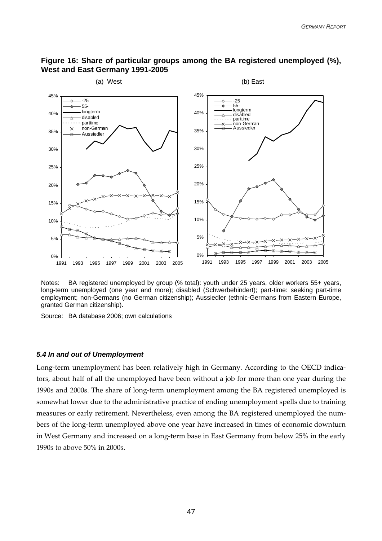

#### <span id="page-48-0"></span>**Figure 16: Share of particular groups among the BA registered unemployed (%), West and East Germany 1991-2005**

Notes: BA registered unemployed by group (% total): youth under 25 years, older workers 55+ years, long-term unemployed (one year and more); disabled (Schwerbehindert); part-time: seeking part-time employment; non-Germans (no German citizenship); Aussiedler (ethnic-Germans from Eastern Europe, granted German citizenship).

Source: BA database 2006; own calculations

#### *5.4 In and out of Unemployment*

Long-term unemployment has been relatively high in Germany. According to the OECD indicators, about half of all the unemployed have been without a job for more than one year during the 1990s and 2000s. The share of long-term unemployment among the BA registered unemployed is somewhat lower due to the administrative practice of ending unemployment spells due to training measures or early retirement. Nevertheless, even among the BA registered unemployed the numbers of the long-term unemployed above one year have increased in times of economic downturn in West Germany and increased on a long-term base in East Germany from below 25% in the early 1990s to above 50% in 2000s.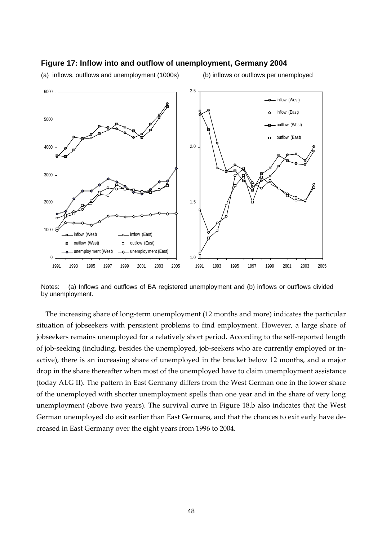

#### **Figure 17: Inflow into and outflow of unemployment, Germany 2004**

(a) inflows, outflows and unemployment (1000s) (b) inflows or outflows per unemployed

Notes: (a) Inflows and outflows of BA registered unemployment and (b) inflows or outflows divided by unemployment.

The increasing share of long-term unemployment (12 months and more) indicates the particular situation of jobseekers with persistent problems to find employment. However, a large share of jobseekers remains unemployed for a relatively short period. According to the self-reported length of job-seeking (including, besides the unemployed, job-seekers who are currently employed or inactive), there is an increasing share of unemployed in the bracket below 12 months, and a major drop in the share thereafter when most of the unemployed have to claim unemployment assistance (today ALG II). The pattern in East Germany differs from the West German one in the lower share of the unemployed with shorter unemployment spells than one year and in the share of very long unemployment (above two years). The survival curve in Figure 18.b also indicates that the West German unemployed do exit earlier than East Germans, and that the chances to exit early have decreased in East Germany over the eight years from 1996 to 2004.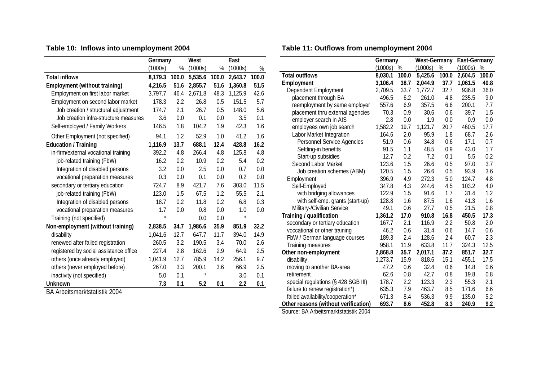# **Table 10: Inflows into unemployment 2004**

|                                        | Germany |       | West    | East  |         |       |
|----------------------------------------|---------|-------|---------|-------|---------|-------|
|                                        | (1000s) | %     | (1000s) | %     | (1000s) | %     |
| <b>Total inflows</b>                   | 8,179.3 | 100.0 | 5,535.6 | 100.0 | 2,643.7 | 100.0 |
| Employment (without training)          | 4,216.5 | 51.6  | 2,855.7 | 51.6  | 1,360.8 | 51.5  |
| Employment on first labor market       | 3,797.7 | 46.4  | 2,671.8 | 48.3  | 1,125.9 | 42.6  |
| Employment on second labor market      | 178.3   | 2.2   | 26.8    | 0.5   | 151.5   | 5.7   |
| Job creation / structural adjustment   | 174.7   | 2.1   | 26.7    | 0.5   | 148.0   | 5.6   |
| Job creation infra-structure measures  | 3.6     | 0.0   | 0.1     | 0.0   | 3.5     | 0.1   |
| Self-employed / Family Workers         | 146.5   | 1.8   | 104.2   | 1.9   | 42.3    | 1.6   |
| Other Employment (not specified)       | 94.1    | 1.2   | 52.9    | 1.0   | 41.2    | 1.6   |
| Education / Training                   | 1,116.9 | 13.7  | 688.1   | 12.4  | 428.8   | 16.2  |
| in-firm/external vocational training   | 392.2   | 4.8   | 266.4   | 4.8   | 125.8   | 4.8   |
| job-related training (FbW)             | 16.2    | 0.2   | 10.9    | 0.2   | 5.4     | 0.2   |
| Integration of disabled persons        | 3.2     | 0.0   | 2.5     | 0.0   | 0.7     | 0.0   |
| vocational preparation measures        | 0.3     | 0.0   | 0.1     | 0.0   | 0.2     | 0.0   |
| secondary or tertiary education        | 724.7   | 8.9   | 421.7   | 7.6   | 303.0   | 11.5  |
| job-related training (FbW)             | 123.0   | 1.5   | 67.5    | 1.2   | 55.5    | 2.1   |
| Integration of disabled persons        | 18.7    | 0.2   | 11.8    | 0.2   | 6.8     | 0.3   |
| vocational preparation measures        | 1.7     | 0.0   | 0.8     | 0.0   | 1.0     | 0.0   |
| Training (not specified)               | $\star$ |       | 0.0     | 0.0   | $\star$ |       |
| Non-employment (without training)      | 2,838.5 | 34.7  | 1,986.6 | 35.9  | 851.9   | 32.2  |
| disability                             | 1,041.6 | 12.7  | 647.7   | 11.7  | 394.0   | 14.9  |
| renewed after failed registration      | 260.5   | 3.2   | 190.5   | 3.4   | 70.0    | 2.6   |
| registered by social assistance office | 227.4   | 2.8   | 162.6   | 2.9   | 64.9    | 2.5   |
| others (once already employed)         | 1,041.9 | 12.7  | 785.9   | 14.2  | 256.1   | 9.7   |
| others (never employed before)         | 267.0   | 3.3   | 200.1   | 3.6   | 66.9    | 2.5   |
| inactivity (not specified)             | 5.0     | 0.1   | $\star$ |       | 3.0     | 0.1   |
| <b>Unknown</b>                         | 7.3     | 0.1   | 5.2     | 0.1   | 2.2     | 0.1   |

BA Arbeitsmarktstatistik 2004

# **Table 11: Outflows from unemployment 2004**

|                                      | Germany      |       | <b>West-Germany</b> |       | East-Germany |       |
|--------------------------------------|--------------|-------|---------------------|-------|--------------|-------|
|                                      | (1000s)<br>% |       | $\%$<br>(1000s)     |       | (1000s)      | $\%$  |
| <b>Total outflows</b>                | 8,030.1      | 100.0 | 5,425.6             | 100.0 | 2,604.5      | 100.0 |
| Employment                           | 3,106.4      | 38.7  | 2,044.9             | 37.7  | 1,061.5      | 40.8  |
| Dependent Employment                 | 2,709.5      | 33.7  | 1,772.7             | 32.7  | 936.8        | 36.0  |
| placement through BA                 | 496.5        | 6.2   | 261.0               | 4.8   | 235.5        | 9.0   |
| reemployment by same employer        | 557.6        | 6.9   | 357.5               | 6.6   | 200.1        | 7.7   |
| placement thru external agencies     | 70.3         | 0.9   | 30.6                | 0.6   | 39.7         | 1.5   |
| employer search in AIS               | 2.8          | 0.0   | 1.9                 | 0.0   | 0.9          | 0.0   |
| employees own job search             | 1,582.2      | 19.7  | 1,121.7             | 20.7  | 460.5        | 17.7  |
| Labor Market Integration             | 164.6        | 2.0   | 95.9                | 1.8   | 68.7         | 2.6   |
| Personnel Service Agencies           | 51.9         | 0.6   | 34.8                | 0.6   | 17.1         | 0.7   |
| Settling-in benefits                 | 91.5         | 1.1   | 48.5                | 0.9   | 43.0         | 1.7   |
| Start-up subsidies                   | 12.7         | 0.2   | 7.2                 | 0.1   | 5.5          | 0.2   |
| Second Labor Market                  | 123.6        | 1.5   | 26.6                | 0.5   | 97.0         | 3.7   |
| Job creation schemes (ABM)           | 120.5        | 1.5   | 26.6                | 0.5   | 93.9         | 3.6   |
| Employment                           | 396.9        | 4.9   | 272.3               | 5.0   | 124.7        | 4.8   |
| Self-Employed                        | 347.8        | 4.3   | 244.6               | 4.5   | 103.2        | 4.0   |
| with bridging allowances             | 122.9        | 1.5   | 91.6                | 1.7   | 31.4         | 1.2   |
| with self-emp. grants (start-up)     | 128.8        | 1.6   | 87.5                | 1.6   | 41.3         | 1.6   |
| Military-/Civilian Service           | 49.1         | 0.6   | 27.7                | 0.5   | 21.5         | 0.8   |
| Training / qualification             | 1,361.2      | 17.0  | 910.8               | 16.8  | 450.5        | 17.3  |
| secondary or tertiary education      | 167.7        | 2.1   | 116.9               | 2.2   | 50.8         | 2.0   |
| voccational or other training        | 46.2         | 0.6   | 31.4                | 0.6   | 14.7         | 0.6   |
| FbW / German language courses        | 189.3        | 2.4   | 128.6               | 2.4   | 60.7         | 2.3   |
| Training measures                    | 958.1        | 11.9  | 633.8               | 11.7  | 324.3        | 12.5  |
| Other non-employment                 | 2,868.8      | 35.7  | 2,017.1             | 37.2  | 851.7        | 32.7  |
| disability                           | 1,273.7      | 15.9  | 818.6               | 15.1  | 455.1        | 17.5  |
| moving to another BA-area            | 47.2         | 0.6   | 32.4                | 0.6   | 14.8         | 0.6   |
| retirement                           | 62.6         | 0.8   | 42.7                | 0.8   | 19.8         | 0.8   |
| special regulations (§ 428 SGB III)  | 178.7        | 2.2   | 123.3               | 2.3   | 55.3         | 2.1   |
| failure to renew registration*)      | 635.3        | 7.9   | 463.7               | 8.5   | 171.6        | 6.6   |
| failed availability/cooperation*     | 671.3        | 8.4   | 536.3               | 9.9   | 135.0        | 5.2   |
| Other reasons (without verification) | 693.7        | 8.6   | 452.8               | 8.3   | 240.9        | 9.2   |

Source: BA Arbeitsmarktstatistik 2004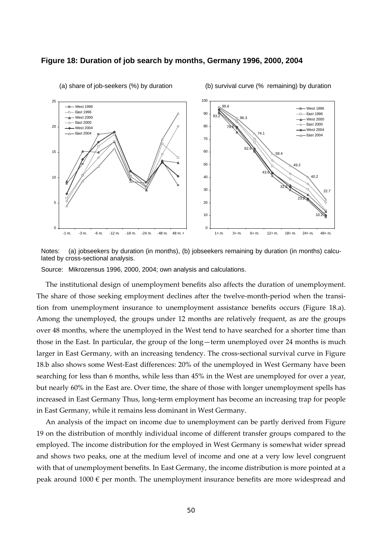#### **Figure 18: Duration of job search by months, Germany 1996, 2000, 2004**



(a) share of job-seekers (%) by duration (b) survival curve (% remaining) by duration

Notes: (a) jobseekers by duration (in months), (b) jobseekers remaining by duration (in months) calculated by cross-sectional analysis.

Source: Mikrozensus 1996, 2000, 2004; own analysis and calculations.

The institutional design of unemployment benefits also affects the duration of unemployment. The share of those seeking employment declines after the twelve-month-period when the transition from unemployment insurance to unemployment assistance benefits occurs (Figure 18.a). Among the unemployed, the groups under 12 months are relatively frequent, as are the groups over 48 months, where the unemployed in the West tend to have searched for a shorter time than those in the East. In particular, the group of the long—term unemployed over 24 months is much larger in East Germany, with an increasing tendency. The cross-sectional survival curve in Figure 18.b also shows some West-East differences: 20% of the unemployed in West Germany have been searching for less than 6 months, while less than 45% in the West are unemployed for over a year, but nearly 60% in the East are. Over time, the share of those with longer unemployment spells has increased in East Germany Thus, long-term employment has become an increasing trap for people in East Germany, while it remains less dominant in West Germany.

An analysis of the impact on income due to unemployment can be partly derived from Figure 19 on the distribution of monthly individual income of different transfer groups compared to the employed. The income distribution for the employed in West Germany is somewhat wider spread and shows two peaks, one at the medium level of income and one at a very low level congruent with that of unemployment benefits. In East Germany, the income distribution is more pointed at a peak around  $1000 \in \text{per month}$ . The unemployment insurance benefits are more widespread and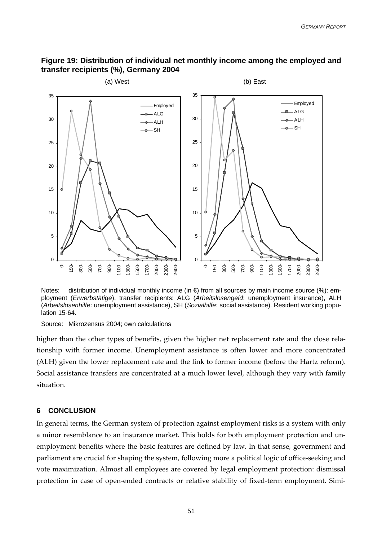## <span id="page-52-0"></span>**Figure 19: Distribution of individual net monthly income among the employed and transfer recipients (%), Germany 2004**



Notes: distribution of individual monthly income (in €) from all sources by main income source (%): employment (*Erwerbstätige*), transfer recipients: ALG (*Arbeitslosengeld*: unemployment insurance), ALH (*Arbeitslosenhilfe*: unemployment assistance), SH (*Sozialhilfe*: social assistance). Resident working population 15-64.

Source: Mikrozensus 2004; own calculations

higher than the other types of benefits, given the higher net replacement rate and the close relationship with former income. Unemployment assistance is often lower and more concentrated (ALH) given the lower replacement rate and the link to former income (before the Hartz reform). Social assistance transfers are concentrated at a much lower level, although they vary with family situation.

#### **6 CONCLUSION**

In general terms, the German system of protection against employment risks is a system with only a minor resemblance to an insurance market. This holds for both employment protection and unemployment benefits where the basic features are defined by law. In that sense, government and parliament are crucial for shaping the system, following more a political logic of office-seeking and vote maximization. Almost all employees are covered by legal employment protection: dismissal protection in case of open-ended contracts or relative stability of fixed-term employment. Simi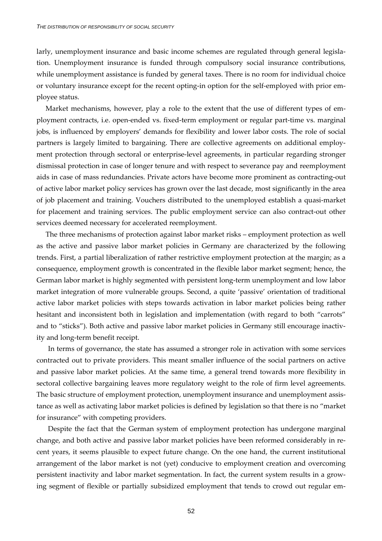larly, unemployment insurance and basic income schemes are regulated through general legislation. Unemployment insurance is funded through compulsory social insurance contributions, while unemployment assistance is funded by general taxes. There is no room for individual choice or voluntary insurance except for the recent opting-in option for the self-employed with prior employee status.

Market mechanisms, however, play a role to the extent that the use of different types of employment contracts, i.e. open-ended vs. fixed-term employment or regular part-time vs. marginal jobs, is influenced by employers' demands for flexibility and lower labor costs. The role of social partners is largely limited to bargaining. There are collective agreements on additional employment protection through sectoral or enterprise-level agreements, in particular regarding stronger dismissal protection in case of longer tenure and with respect to severance pay and reemployment aids in case of mass redundancies. Private actors have become more prominent as contracting-out of active labor market policy services has grown over the last decade, most significantly in the area of job placement and training. Vouchers distributed to the unemployed establish a quasi-market for placement and training services. The public employment service can also contract-out other services deemed necessary for accelerated reemployment.

The three mechanisms of protection against labor market risks – employment protection as well as the active and passive labor market policies in Germany are characterized by the following trends. First, a partial liberalization of rather restrictive employment protection at the margin; as a consequence, employment growth is concentrated in the flexible labor market segment; hence, the German labor market is highly segmented with persistent long-term unemployment and low labor market integration of more vulnerable groups. Second, a quite 'passive' orientation of traditional active labor market policies with steps towards activation in labor market policies being rather hesitant and inconsistent both in legislation and implementation (with regard to both "carrots" and to "sticks"). Both active and passive labor market policies in Germany still encourage inactivity and long-term benefit receipt.

In terms of governance, the state has assumed a stronger role in activation with some services contracted out to private providers. This meant smaller influence of the social partners on active and passive labor market policies. At the same time, a general trend towards more flexibility in sectoral collective bargaining leaves more regulatory weight to the role of firm level agreements. The basic structure of employment protection, unemployment insurance and unemployment assistance as well as activating labor market policies is defined by legislation so that there is no "market for insurance" with competing providers.

Despite the fact that the German system of employment protection has undergone marginal change, and both active and passive labor market policies have been reformed considerably in recent years, it seems plausible to expect future change. On the one hand, the current institutional arrangement of the labor market is not (yet) conducive to employment creation and overcoming persistent inactivity and labor market segmentation. In fact, the current system results in a growing segment of flexible or partially subsidized employment that tends to crowd out regular em-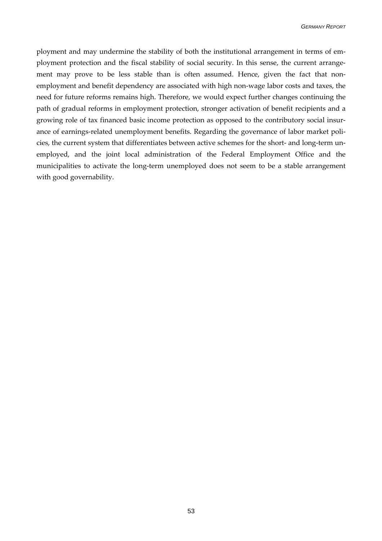ployment and may undermine the stability of both the institutional arrangement in terms of employment protection and the fiscal stability of social security. In this sense, the current arrangement may prove to be less stable than is often assumed. Hence, given the fact that nonemployment and benefit dependency are associated with high non-wage labor costs and taxes, the need for future reforms remains high. Therefore, we would expect further changes continuing the path of gradual reforms in employment protection, stronger activation of benefit recipients and a growing role of tax financed basic income protection as opposed to the contributory social insurance of earnings-related unemployment benefits. Regarding the governance of labor market policies, the current system that differentiates between active schemes for the short- and long-term unemployed, and the joint local administration of the Federal Employment Office and the municipalities to activate the long-term unemployed does not seem to be a stable arrangement with good governability.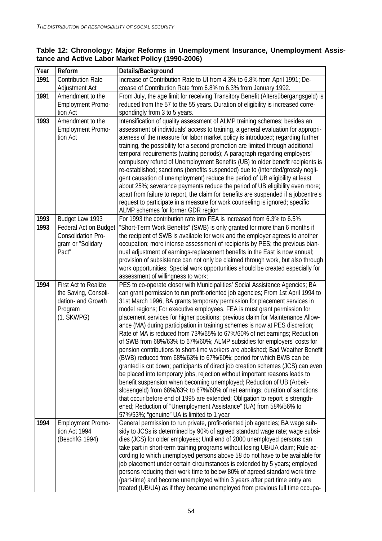## **Table 12: Chronology: Major Reforms in Unemployment Insurance, Unemployment Assistance and Active Labor Market Policy (1990-2006)**

| Year | Reform                               | Details/Background                                                                                                                                                   |
|------|--------------------------------------|----------------------------------------------------------------------------------------------------------------------------------------------------------------------|
| 1991 | <b>Contribution Rate</b>             | Increase of Contribution Rate to UI from 4.3% to 6.8% from April 1991; De-                                                                                           |
|      | Adjustment Act                       | crease of Contribution Rate from 6.8% to 6.3% from January 1992.                                                                                                     |
| 1991 | Amendment to the                     | From July, the age limit for receiving Transitory Benefit (Altersübergangsgeld) is                                                                                   |
|      | <b>Employment Promo-</b>             | reduced from the 57 to the 55 years. Duration of eligibility is increased corre-                                                                                     |
|      | tion Act                             | spondingly from 3 to 5 years.                                                                                                                                        |
| 1993 | Amendment to the                     | Intensification of quality assessment of ALMP training schemes; besides an                                                                                           |
|      | <b>Employment Promo-</b><br>tion Act | assessment of individuals' access to training, a general evaluation for appropri-<br>ateness of the measure for labor market policy is introduced; regarding further |
|      |                                      | training, the possibility for a second promotion are limited through additional                                                                                      |
|      |                                      | temporal requirements (waiting periods); A paragraph regarding employers'                                                                                            |
|      |                                      | compulsory refund of Unemployment Benefits (UB) to older benefit recipients is                                                                                       |
|      |                                      | re-established; sanctions (benefits suspended) due to (intended/grossly negli-                                                                                       |
|      |                                      | gent causation of unemployment) reduce the period of UB eligibility at least                                                                                         |
|      |                                      | about 25%; severance payments reduce the period of UB eligibility even more;                                                                                         |
|      |                                      | apart from failure to report, the claim for benefits are suspended if a jobcentre's                                                                                  |
|      |                                      | request to participate in a measure for work counseling is ignored; specific                                                                                         |
|      |                                      | ALMP schemes for former GDR region                                                                                                                                   |
| 1993 | Budget Law 1993                      | For 1993 the contribution rate into FEA is increased from 6.3% to 6.5%                                                                                               |
| 1993 | Federal Act on Budget                | "Short-Term Work Benefits" (SWB) is only granted for more than 6 months if                                                                                           |
|      | <b>Consolidation Pro-</b>            | the recipient of SWB is available for work and the employer agrees to another                                                                                        |
|      | gram or "Solidary<br>Pact"           | occupation; more intense assessment of recipients by PES; the previous bian-<br>nual adjustment of earnings-replacement benefits in the East is now annual;          |
|      |                                      | provision of subsistence can not only be claimed through work, but also through                                                                                      |
|      |                                      | work opportunities; Special work opportunities should be created especially for                                                                                      |
|      |                                      | assessment of willingness to work;                                                                                                                                   |
| 1994 | First Act to Realize                 | PES to co-operate closer with Municipalities' Social Assistance Agencies; BA                                                                                         |
|      | the Saving, Consoli-                 | can grant permission to run profit-oriented job agencies; From 1st April 1994 to                                                                                     |
|      | dation- and Growth                   | 31st March 1996, BA grants temporary permission for placement services in                                                                                            |
|      | Program                              | model regions; For executive employees, FEA is must grant permission for                                                                                             |
|      | $(1.$ SKWPG $)$                      | placement services for higher positions; previous claim for Maintenance Allow-                                                                                       |
|      |                                      | ance (MA) during participation in training schemes is now at PES discretion;                                                                                         |
|      |                                      | Rate of MA is reduced from 73%/65% to 67%/60% of net earnings; Reduction<br>of SWB from 68%/63% to 67%/60%; ALMP subsidies for employers' costs for                  |
|      |                                      | pension contributions to short-time workers are abolished; Bad Weather Benefit                                                                                       |
|      |                                      | (BWB) reduced from 68%/63% to 67%/60%; period for which BWB can be                                                                                                   |
|      |                                      | granted is cut down; participants of direct job creation schemes (JCS) can even                                                                                      |
|      |                                      | be placed into temporary jobs, rejection without important reasons leads to                                                                                          |
|      |                                      | benefit suspension when becoming unemployed; Reduction of UB (Arbeit-                                                                                                |
|      |                                      | slosengeld) from 68%/63% to 67%/60% of net earnings; duration of sanctions                                                                                           |
|      |                                      | that occur before end of 1995 are extended; Obligation to report is strength-                                                                                        |
|      |                                      | ened; Reduction of "Unemployment Assistance" (UA) from 58%/56% to                                                                                                    |
|      |                                      | 57%/53%; "genuine" UA is limited to 1 year                                                                                                                           |
| 1994 | <b>Employment Promo-</b>             | General permission to run private, profit-oriented job agencies; BA wage sub-                                                                                        |
|      | tion Act 1994                        | sidy to JCSs is determined by 90% of agreed standard wage rate; wage subsi-                                                                                          |
|      | (BeschfG 1994)                       | dies (JCS) for older employees; Until end of 2000 unemployed persons can                                                                                             |
|      |                                      | take part in short-term training programs without losing UB/UA claim; Rule ac-<br>cording to which unemployed persons above 58 do not have to be available for       |
|      |                                      | job placement under certain circumstances is extended by 5 years; employed                                                                                           |
|      |                                      | persons reducing their work time to below 80% of agreed standard work time                                                                                           |
|      |                                      | (part-time) and become unemployed within 3 years after part time entry are                                                                                           |
|      |                                      | treated (UB/UA) as if they became unemployed from previous full time occupa-                                                                                         |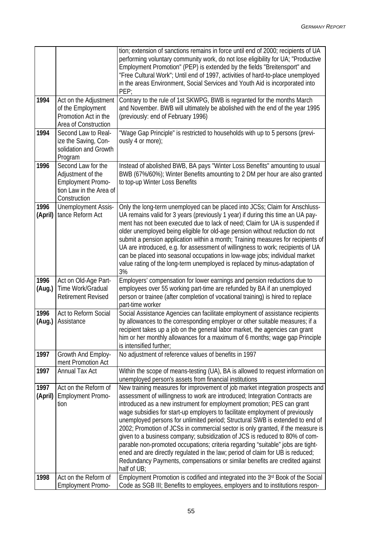|                 |                                                                                                                | tion; extension of sanctions remains in force until end of 2000; recipients of UA<br>performing voluntary community work, do not lose eligibility for UA; "Productive<br>Employment Promotion" (PEP) is extended by the fields "Breitensport" and<br>"Free Cultural Work"; Until end of 1997, activities of hard-to-place unemployed<br>in the areas Environment, Social Services and Youth Aid is incorporated into<br>PEP;                                                                                                                                                                                                                                                                                                                                                                                                                 |
|-----------------|----------------------------------------------------------------------------------------------------------------|----------------------------------------------------------------------------------------------------------------------------------------------------------------------------------------------------------------------------------------------------------------------------------------------------------------------------------------------------------------------------------------------------------------------------------------------------------------------------------------------------------------------------------------------------------------------------------------------------------------------------------------------------------------------------------------------------------------------------------------------------------------------------------------------------------------------------------------------|
| 1994            | Act on the Adjustment<br>of the Employment<br>Promotion Act in the<br>Area of Construction                     | Contrary to the rule of 1st SKWPG, BWB is regranted for the months March<br>and November. BWB will ultimately be abolished with the end of the year 1995<br>(previously: end of February 1996)                                                                                                                                                                                                                                                                                                                                                                                                                                                                                                                                                                                                                                               |
| 1994            | Second Law to Real-<br>ize the Saving, Con-<br>solidation and Growth<br>Program                                | "Wage Gap Principle" is restricted to households with up to 5 persons (previ-<br>ously 4 or more);                                                                                                                                                                                                                                                                                                                                                                                                                                                                                                                                                                                                                                                                                                                                           |
| 1996            | Second Law for the<br>Adjustment of the<br><b>Employment Promo-</b><br>tion Law in the Area of<br>Construction | Instead of abolished BWB, BA pays "Winter Loss Benefits" amounting to usual<br>BWB (67%/60%); Winter Benefits amounting to 2 DM per hour are also granted<br>to top-up Winter Loss Benefits                                                                                                                                                                                                                                                                                                                                                                                                                                                                                                                                                                                                                                                  |
| 1996<br>(April) | Unemployment Assis-<br>tance Reform Act                                                                        | Only the long-term unemployed can be placed into JCSs; Claim for Anschluss-<br>UA remains valid for 3 years (previously 1 year) if during this time an UA pay-<br>ment has not been executed due to lack of need; Claim for UA is suspended if<br>older unemployed being eligible for old-age pension without reduction do not<br>submit a pension application within a month; Training measures for recipients of<br>UA are introduced, e.g. for assessment of willingness to work; recipients of UA<br>can be placed into seasonal occupations in low-wage jobs; individual market<br>value rating of the long-term unemployed is replaced by minus-adaptation of<br>3%                                                                                                                                                                    |
| 1996<br>(Aug.)  | Act on Old-Age Part-<br>Time Work/Gradual<br><b>Retirement Revised</b>                                         | Employers' compensation for lower earnings and pension reductions due to<br>employees over 55 working part-time are refunded by BA if an unemployed<br>person or trainee (after completion of vocational training) is hired to replace<br>part-time worker                                                                                                                                                                                                                                                                                                                                                                                                                                                                                                                                                                                   |
| 1996<br>(Aug.)  | Act to Reform Social<br>Assistance                                                                             | Social Assistance Agencies can facilitate employment of assistance recipients<br>by allowances to the corresponding employer or other suitable measures; if a<br>recipient takes up a job on the general labor market, the agencies can grant<br>him or her monthly allowances for a maximum of 6 months; wage gap Principle<br>is intensified further;                                                                                                                                                                                                                                                                                                                                                                                                                                                                                      |
| 1997            | Growth And Employ-<br>ment Promotion Act                                                                       | No adjustment of reference values of benefits in 1997                                                                                                                                                                                                                                                                                                                                                                                                                                                                                                                                                                                                                                                                                                                                                                                        |
| 1997            | <b>Annual Tax Act</b>                                                                                          | Within the scope of means-testing (UA), BA is allowed to request information on<br>unemployed person's assets from financial institutions                                                                                                                                                                                                                                                                                                                                                                                                                                                                                                                                                                                                                                                                                                    |
| 1997<br>(April) | Act on the Reform of<br><b>Employment Promo-</b><br>tion                                                       | New training measures for improvement of job market integration prospects and<br>assessment of willingness to work are introduced; Integration Contracts are<br>introduced as a new instrument for employment promotion; PES can grant<br>wage subsidies for start-up employers to facilitate employment of previously<br>unemployed persons for unlimited period; Structural SWB is extended to end of<br>2002; Promotion of JCSs in commercial sector is only granted, if the measure is<br>given to a business company; subsidization of JCS is reduced to 80% of com-<br>parable non-promoted occupations; criteria regarding "suitable" jobs are tight-<br>ened and are directly regulated in the law; period of claim for UB is reduced;<br>Redundancy Payments, compensations or similar benefits are credited against<br>half of UB; |
| 1998            | Act on the Reform of<br><b>Employment Promo-</b>                                                               | Employment Promotion is codified and integrated into the 3rd Book of the Social<br>Code as SGB III; Benefits to employees, employers and to institutions respon-                                                                                                                                                                                                                                                                                                                                                                                                                                                                                                                                                                                                                                                                             |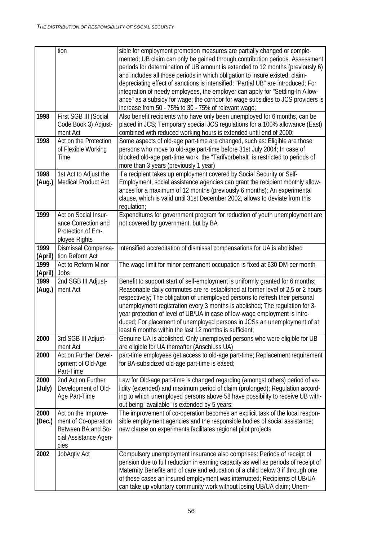|                 | tion                                                                                               | sible for employment promotion measures are partially changed or comple-<br>mented; UB claim can only be gained through contribution periods. Assessment<br>periods for determination of UB amount is extended to 12 months (previously 6)<br>and includes all those periods in which obligation to insure existed; claim-<br>depreciating effect of sanctions is intensified; "Partial UB" are introduced; For<br>integration of needy employees, the employer can apply for "Settling-In Allow-<br>ance" as a subsidy for wage; the corridor for wage subsidies to JCS providers is<br>increase from 50 - 75% to 30 - 75% of relevant wage; |
|-----------------|----------------------------------------------------------------------------------------------------|-----------------------------------------------------------------------------------------------------------------------------------------------------------------------------------------------------------------------------------------------------------------------------------------------------------------------------------------------------------------------------------------------------------------------------------------------------------------------------------------------------------------------------------------------------------------------------------------------------------------------------------------------|
| 1998            | First SGB III (Social<br>Code Book 3) Adjust-<br>ment Act                                          | Also benefit recipients who have only been unemployed for 6 months, can be<br>placed in JCS; Temporary special JCS regulations for a 100% allowance (East)<br>combined with reduced working hours is extended until end of 2000;                                                                                                                                                                                                                                                                                                                                                                                                              |
| 1998            | Act on the Protection<br>of Flexible Working<br>Time                                               | Some aspects of old-age part-time are changed, such as: Eligible are those<br>persons who move to old-age part-time before 31st July 2004; In case of<br>blocked old-age part-time work, the "Tarifvorbehalt" is restricted to periods of<br>more than 3 years (previously 1 year)                                                                                                                                                                                                                                                                                                                                                            |
| 1998<br>(Aug.)  | 1st Act to Adjust the<br>Medical Product Act                                                       | If a recipient takes up employment covered by Social Security or Self-<br>Employment, social assistance agencies can grant the recipient monthly allow-<br>ances for a maximum of 12 months (previously 6 months); An experimental<br>clause, which is valid until 31st December 2002, allows to deviate from this<br>regulation;                                                                                                                                                                                                                                                                                                             |
| 1999            | Act on Social Insur-<br>ance Correction and<br>Protection of Em-<br>ployee Rights                  | Expenditures for government program for reduction of youth unemployment are<br>not covered by government, but by BA                                                                                                                                                                                                                                                                                                                                                                                                                                                                                                                           |
| 1999<br>(April) | Dismissal Compensa-<br>tion Reform Act                                                             | Intensified accreditation of dismissal compensations for UA is abolished                                                                                                                                                                                                                                                                                                                                                                                                                                                                                                                                                                      |
| 1999<br>(April) | Act to Reform Minor<br>Jobs                                                                        | The wage limit for minor permanent occupation is fixed at 630 DM per month                                                                                                                                                                                                                                                                                                                                                                                                                                                                                                                                                                    |
| 1999<br>(Aug.)  | 2nd SGB III Adjust-<br>ment Act                                                                    | Benefit to support start of self-employment is uniformly granted for 6 months;<br>Reasonable daily commutes are re-established at former level of 2,5 or 2 hours<br>respectively; The obligation of unemployed persons to refresh their personal<br>unemployment registration every 3 months is abolished; The regulation for 3-<br>year protection of level of UB/UA in case of low-wage employment is intro-<br>duced; For placement of unemployed persons in JCSs an unemployment of at<br>least 6 months within the last 12 months is sufficient;                                                                                         |
| 2000            | 3rd SGB III Adjust-<br>ment Act                                                                    | Genuine UA is abolished. Only unemployed persons who were eligible for UB<br>are eligible for UA thereafter (Anschluss UA)                                                                                                                                                                                                                                                                                                                                                                                                                                                                                                                    |
| 2000            | Act on Further Devel-<br>opment of Old-Age<br>Part-Time                                            | part-time employees get access to old-age part-time; Replacement requirement<br>for BA-subsidized old-age part-time is eased;                                                                                                                                                                                                                                                                                                                                                                                                                                                                                                                 |
| 2000<br>(July)  | 2nd Act on Further<br>Development of Old-<br>Age Part-Time                                         | Law for Old-age part-time is changed regarding (amongst others) period of va-<br>lidity (extended) and maximum period of claim (prolonged); Regulation accord-<br>ing to which unemployed persons above 58 have possibility to receive UB with-<br>out being "available" is extended by 5 years;                                                                                                                                                                                                                                                                                                                                              |
| 2000<br>(Dec.)  | Act on the Improve-<br>ment of Co-operation<br>Between BA and So-<br>cial Assistance Agen-<br>cies | The improvement of co-operation becomes an explicit task of the local respon-<br>sible employment agencies and the responsible bodies of social assistance;<br>new clause on experiments facilitates regional pilot projects                                                                                                                                                                                                                                                                                                                                                                                                                  |
| 2002            | JobAqtiv Act                                                                                       | Compulsory unemployment insurance also comprises: Periods of receipt of<br>pension due to full reduction in earning capacity as well as periods of receipt of<br>Maternity Benefits and of care and education of a child below 3 if through one<br>of these cases an insured employment was interrupted; Recipients of UB/UA<br>can take up voluntary community work without losing UB/UA claim; Unem-                                                                                                                                                                                                                                        |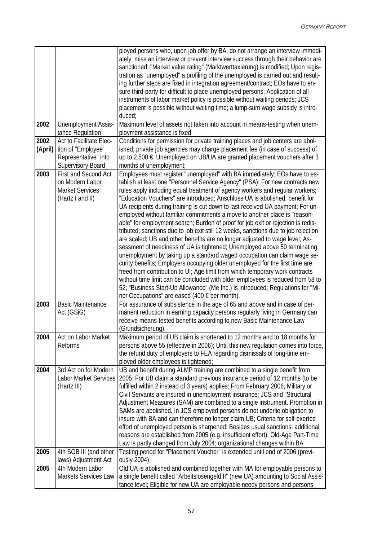|                 |                                                                                           | ployed persons who, upon job offer by BA, do not arrange an interview immedi-<br>ately, miss an interview or prevent interview success through their behavior are<br>sanctioned; "Market value rating" (Marktwerttaxierung) is modified; Upon regis-<br>tration as "unemployed" a profiling of the unemployed is carried out and result-<br>ing further steps are fixed in integration agreement/contract; EOs have to en-<br>sure third-party for difficult to place unemployed persons; Application of all<br>instruments of labor market policy is possible without waiting periods; JCS<br>placement is possible without waiting time; a lump-sum wage subsidy is intro-<br>duced;                                                                                                                                                                                                                                                                                                                                                                                                                                                                                                                                                                                                          |
|-----------------|-------------------------------------------------------------------------------------------|-------------------------------------------------------------------------------------------------------------------------------------------------------------------------------------------------------------------------------------------------------------------------------------------------------------------------------------------------------------------------------------------------------------------------------------------------------------------------------------------------------------------------------------------------------------------------------------------------------------------------------------------------------------------------------------------------------------------------------------------------------------------------------------------------------------------------------------------------------------------------------------------------------------------------------------------------------------------------------------------------------------------------------------------------------------------------------------------------------------------------------------------------------------------------------------------------------------------------------------------------------------------------------------------------|
| 2002            | Unemployment Assis-<br>tance Regulation                                                   | Maximum level of assets not taken into account in means-testing when unem-<br>ployment assistance is fixed                                                                                                                                                                                                                                                                                                                                                                                                                                                                                                                                                                                                                                                                                                                                                                                                                                                                                                                                                                                                                                                                                                                                                                                      |
| 2002<br>(April) | Act to Facilitate Elec-<br>tion of "Employee<br>Representative" into<br>Supervisory Board | Conditions for permission for private training places and job centers are abol-<br>ished; private job agencies may charge placement fee (in case of success) of<br>up to 2.500 €. Unemployed on UB/UA are granted placement vouchers after 3<br>months of unemployment;                                                                                                                                                                                                                                                                                                                                                                                                                                                                                                                                                                                                                                                                                                                                                                                                                                                                                                                                                                                                                         |
| 2003            | First and Second Act<br>on Modern Labor<br><b>Market Services</b><br>(Hartz I and II)     | Employees must register "unemployed" with BA immediately; EOs have to es-<br>tablish at least one "Personnel Service Agency" (PSA); For new contracts new<br>rules apply including equal treatment of agency workers and regular workers;<br>"Education Vouchers" are introduced; Anschluss UA is abolished; benefit for<br>UA recipients during training is cut down to last received UA payment; For un-<br>employed without familiar commitments a move to another place is "reason-<br>able" for employment search; Burden of proof for job exit or rejection is redis-<br>tributed; sanctions due to job exit still 12 weeks, sanctions due to job rejection<br>are scaled; UB and other benefits are no longer adjusted to wage level; As-<br>sessment of neediness of UA is tightened; Unemployed above 50 terminating<br>unemployment by taking up a standard waged occupation can claim wage se-<br>curity benefits; Employers occupying older unemployed for the first time are<br>freed from contribution to UI; Age limit from which temporary work contracts<br>without time limit can be concluded with older employees is reduced from 58 to<br>52; "Business Start-Up Allowance" (Me Inc.) is introduced; Regulations for "Mi-<br>nor Occupations" are eased (400 € per month). |
| 2003            | <b>Basic Maintenance</b><br>Act (GSiG)                                                    | For assurance of subsistence in the age of 65 and above and in case of per-<br>manent reduction in earning capacity persons regularly living in Germany can<br>receive means-tested benefits according to new Basic Maintenance Law<br>(Grundsicherung)                                                                                                                                                                                                                                                                                                                                                                                                                                                                                                                                                                                                                                                                                                                                                                                                                                                                                                                                                                                                                                         |
| 2004            | Act on Labor Market<br>Reforms                                                            | Maximum period of UB claim is shortened to 12 months and to 18 months for<br>persons above 55 (effective in 2006); Until this new regulation comes into force,<br>the refund duty of employers to FEA regarding dismissals of long-time em-<br>ployed older employees is tightened;                                                                                                                                                                                                                                                                                                                                                                                                                                                                                                                                                                                                                                                                                                                                                                                                                                                                                                                                                                                                             |
| 2004            | 3rd Act on for Modern<br>Labor Market Services<br>(Hartz III)                             | UB and benefit during ALMP training are combined to a single benefit from<br>2005; For UB claim a standard previous insurance period of 12 months (to be<br>fulfilled within 2 instead of 3 years) applies; From February 2006, Military or<br>Civil Servants are insured in unemployment insurance; JCS and "Structural<br>Adjustment Measures (SAM) are combined to a single instrument. Promotion in<br>SAMs are abolished. In JCS employed persons do not underlie obligation to<br>insure with BA and can therefore no longer claim UB; Criteria for self-exerted<br>effort of unemployed person is sharpened; Besides usual sanctions, additional<br>reasons are established from 2005 (e.g. insufficient effort); Old-Age Part-Time<br>Law is partly changed from July 2004; organizational changes within BA                                                                                                                                                                                                                                                                                                                                                                                                                                                                            |
| 2005            | 4th SGB III (and other<br>laws) Adjustment Act                                            | Testing period for "Placement Voucher" is extended until end of 2006 (previ-<br>ously 2004)                                                                                                                                                                                                                                                                                                                                                                                                                                                                                                                                                                                                                                                                                                                                                                                                                                                                                                                                                                                                                                                                                                                                                                                                     |
| 2005            | 4th Modern Labor<br>Markets Services Law                                                  | Old UA is abolished and combined together with MA for employable persons to<br>a single benefit called "Arbeitslosengeld II" (new UA) amounting to Social Assis-<br>tance level; Eligible for new UA are employable needy persons and persons                                                                                                                                                                                                                                                                                                                                                                                                                                                                                                                                                                                                                                                                                                                                                                                                                                                                                                                                                                                                                                                   |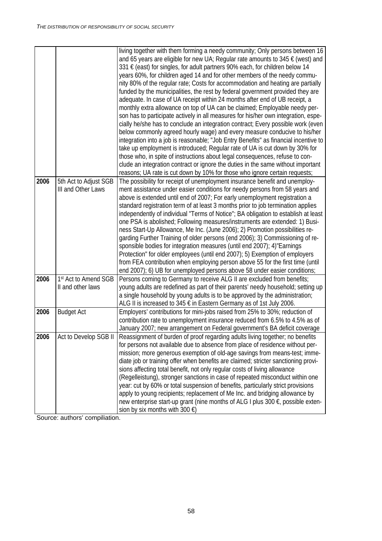|      |                       | living together with them forming a needy community; Only persons between 16<br>and 65 years are eligible for new UA; Regular rate amounts to 345 $\epsilon$ (west) and<br>331 € (east) for singles, for adult partners 90% each, for children below 14<br>years 60%, for children aged 14 and for other members of the needy commu-<br>nity 80% of the regular rate; Costs for accommodation and heating are partially<br>funded by the municipalities, the rest by federal government provided they are<br>adequate. In case of UA receipt within 24 months after end of UB receipt, a<br>monthly extra allowance on top of UA can be claimed; Employable needy per-<br>son has to participate actively in all measures for his/her own integration, espe-<br>cially he/she has to conclude an integration contract; Every possible work (even<br>below commonly agreed hourly wage) and every measure conducive to his/her<br>integration into a job is reasonable; "Job Entry Benefits" as financial incentive to<br>take up employment is introduced; Regular rate of UA is cut down by 30% for<br>those who, in spite of instructions about legal consequences, refuse to con-<br>clude an integration contract or ignore the duties in the same without important |
|------|-----------------------|--------------------------------------------------------------------------------------------------------------------------------------------------------------------------------------------------------------------------------------------------------------------------------------------------------------------------------------------------------------------------------------------------------------------------------------------------------------------------------------------------------------------------------------------------------------------------------------------------------------------------------------------------------------------------------------------------------------------------------------------------------------------------------------------------------------------------------------------------------------------------------------------------------------------------------------------------------------------------------------------------------------------------------------------------------------------------------------------------------------------------------------------------------------------------------------------------------------------------------------------------------------------------|
| 2006 | 5th Act to Adjust SGB | reasons; UA rate is cut down by 10% for those who ignore certain requests;<br>The possibility for receipt of unemployment insurance benefit and unemploy-                                                                                                                                                                                                                                                                                                                                                                                                                                                                                                                                                                                                                                                                                                                                                                                                                                                                                                                                                                                                                                                                                                                |
|      | III and Other Laws    | ment assistance under easier conditions for needy persons from 58 years and                                                                                                                                                                                                                                                                                                                                                                                                                                                                                                                                                                                                                                                                                                                                                                                                                                                                                                                                                                                                                                                                                                                                                                                              |
|      |                       | above is extended until end of 2007; For early unemployment registration a                                                                                                                                                                                                                                                                                                                                                                                                                                                                                                                                                                                                                                                                                                                                                                                                                                                                                                                                                                                                                                                                                                                                                                                               |
|      |                       | standard registration term of at least 3 months prior to job termination applies                                                                                                                                                                                                                                                                                                                                                                                                                                                                                                                                                                                                                                                                                                                                                                                                                                                                                                                                                                                                                                                                                                                                                                                         |
|      |                       | independently of individual "Terms of Notice"; BA obligation to establish at least                                                                                                                                                                                                                                                                                                                                                                                                                                                                                                                                                                                                                                                                                                                                                                                                                                                                                                                                                                                                                                                                                                                                                                                       |
|      |                       | one PSA is abolished; Following measures/instruments are extended: 1) Busi-                                                                                                                                                                                                                                                                                                                                                                                                                                                                                                                                                                                                                                                                                                                                                                                                                                                                                                                                                                                                                                                                                                                                                                                              |
|      |                       | ness Start-Up Allowance, Me Inc. (June 2006); 2) Promotion possibilities re-<br>garding Further Training of older persons (end 2006); 3) Commissioning of re-                                                                                                                                                                                                                                                                                                                                                                                                                                                                                                                                                                                                                                                                                                                                                                                                                                                                                                                                                                                                                                                                                                            |
|      |                       | sponsible bodies for integration measures (until end 2007); 4) "Earnings                                                                                                                                                                                                                                                                                                                                                                                                                                                                                                                                                                                                                                                                                                                                                                                                                                                                                                                                                                                                                                                                                                                                                                                                 |
|      |                       | Protection" for older employees (until end 2007); 5) Exemption of employers                                                                                                                                                                                                                                                                                                                                                                                                                                                                                                                                                                                                                                                                                                                                                                                                                                                                                                                                                                                                                                                                                                                                                                                              |
|      |                       | from FEA contribution when employing person above 55 for the first time (until                                                                                                                                                                                                                                                                                                                                                                                                                                                                                                                                                                                                                                                                                                                                                                                                                                                                                                                                                                                                                                                                                                                                                                                           |
|      |                       | end 2007); 6) UB for unemployed persons above 58 under easier conditions;                                                                                                                                                                                                                                                                                                                                                                                                                                                                                                                                                                                                                                                                                                                                                                                                                                                                                                                                                                                                                                                                                                                                                                                                |
| 2006 | 1st Act to Amend SGB  | Persons coming to Germany to receive ALG II are excluded from benefits;                                                                                                                                                                                                                                                                                                                                                                                                                                                                                                                                                                                                                                                                                                                                                                                                                                                                                                                                                                                                                                                                                                                                                                                                  |
|      | II and other laws     | young adults are redefined as part of their parents' needy household; setting up                                                                                                                                                                                                                                                                                                                                                                                                                                                                                                                                                                                                                                                                                                                                                                                                                                                                                                                                                                                                                                                                                                                                                                                         |
|      |                       | a single household by young adults is to be approved by the administration;                                                                                                                                                                                                                                                                                                                                                                                                                                                                                                                                                                                                                                                                                                                                                                                                                                                                                                                                                                                                                                                                                                                                                                                              |
|      |                       | ALG II is increased to 345 € in Eastern Germany as of 1st July 2006.                                                                                                                                                                                                                                                                                                                                                                                                                                                                                                                                                                                                                                                                                                                                                                                                                                                                                                                                                                                                                                                                                                                                                                                                     |
| 2006 | <b>Budget Act</b>     | Employers' contributions for mini-jobs raised from 25% to 30%; reduction of<br>contribution rate to unemployment insurance reduced from 6.5% to 4.5% as of                                                                                                                                                                                                                                                                                                                                                                                                                                                                                                                                                                                                                                                                                                                                                                                                                                                                                                                                                                                                                                                                                                               |
|      |                       | January 2007; new arrangement on Federal government's BA deficit coverage                                                                                                                                                                                                                                                                                                                                                                                                                                                                                                                                                                                                                                                                                                                                                                                                                                                                                                                                                                                                                                                                                                                                                                                                |
| 2006 | Act to Develop SGB II | Reassignment of burden of proof regarding adults living together; no benefits                                                                                                                                                                                                                                                                                                                                                                                                                                                                                                                                                                                                                                                                                                                                                                                                                                                                                                                                                                                                                                                                                                                                                                                            |
|      |                       | for persons not available due to absence from place of residence without per-                                                                                                                                                                                                                                                                                                                                                                                                                                                                                                                                                                                                                                                                                                                                                                                                                                                                                                                                                                                                                                                                                                                                                                                            |
|      |                       | mission; more generous exemption of old-age savings from means-test; imme-                                                                                                                                                                                                                                                                                                                                                                                                                                                                                                                                                                                                                                                                                                                                                                                                                                                                                                                                                                                                                                                                                                                                                                                               |
|      |                       | diate job or training offer when benefits are claimed; stricter sanctioning provi-                                                                                                                                                                                                                                                                                                                                                                                                                                                                                                                                                                                                                                                                                                                                                                                                                                                                                                                                                                                                                                                                                                                                                                                       |
|      |                       | sions affecting total benefit, not only regular costs of living allowance                                                                                                                                                                                                                                                                                                                                                                                                                                                                                                                                                                                                                                                                                                                                                                                                                                                                                                                                                                                                                                                                                                                                                                                                |
|      |                       | (Regelleistung), stronger sanctions in case of repeated misconduct within one                                                                                                                                                                                                                                                                                                                                                                                                                                                                                                                                                                                                                                                                                                                                                                                                                                                                                                                                                                                                                                                                                                                                                                                            |
|      |                       | year: cut by 60% or total suspension of benefits, particularly strict provisions                                                                                                                                                                                                                                                                                                                                                                                                                                                                                                                                                                                                                                                                                                                                                                                                                                                                                                                                                                                                                                                                                                                                                                                         |
|      |                       | apply to young recipients; replacement of Me Inc. and bridging allowance by                                                                                                                                                                                                                                                                                                                                                                                                                                                                                                                                                                                                                                                                                                                                                                                                                                                                                                                                                                                                                                                                                                                                                                                              |
|      |                       | new enterprise start-up grant (nine months of ALG I plus 300 €, possible exten-<br>sion by six months with 300 $\epsilon$ )                                                                                                                                                                                                                                                                                                                                                                                                                                                                                                                                                                                                                                                                                                                                                                                                                                                                                                                                                                                                                                                                                                                                              |
|      |                       |                                                                                                                                                                                                                                                                                                                                                                                                                                                                                                                                                                                                                                                                                                                                                                                                                                                                                                                                                                                                                                                                                                                                                                                                                                                                          |

Source: authors' compiliation.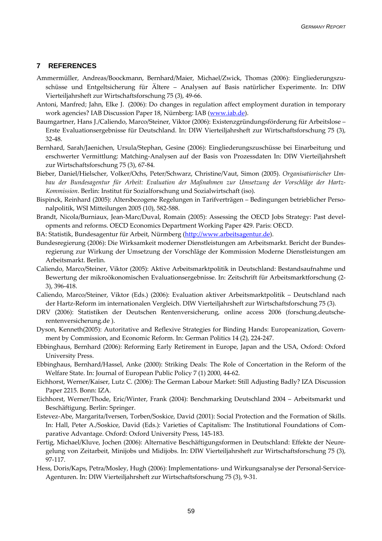#### <span id="page-60-0"></span>**7 REFERENCES**

- Ammermüller, Andreas/Boockmann, Bernhard/Maier, Michael/Zwick, Thomas (2006): Eingliederungszuschüsse und Entgeltsicherung für Ältere – Analysen auf Basis natürlicher Experimente. In: DIW Vierteiljahrsheft zur Wirtschaftsforschung 75 (3), 49-66.
- Antoni, Manfred; Jahn, Elke J. (2006): Do changes in regulation affect employment duration in temporary work agencies? IAB Discussion Paper 18, Nürnberg: IAB [\(www.iab.de](http://www.iab.de/)).
- Baumgartner, Hans J./Caliendo, Marco/Steiner, Viktor (2006): Existenzgründungsförderung für Arbeitslose Erste Evaluationsergebnisse für Deutschland. In: DIW Vierteiljahrsheft zur Wirtschaftsforschung 75 (3), 32-48.
- Bernhard, Sarah/Jaenichen, Ursula/Stephan, Gesine (2006): Eingliederungszuschüsse bei Einarbeitung und erschwerter Vermittlung: Matching-Analysen auf der Basis von Prozessdaten In: DIW Vierteiljahrsheft zur Wirtschaftsforschung 75 (3), 67-84.
- Bieber, Daniel/Hielscher, Volker/Ochs, Peter/Schwarz, Christine/Vaut, Simon (2005). *Organisatiorischer Umbau der Bundesagentur für Arbeit: Evaluation der Maßnahmen zur Umsetzung der Vorschläge der Hartz-Kommission*. Berlin: Institut für Sozialforschung und Sozialwirtschaft (iso).
- Bispinck, Reinhard (2005): Altersbezogene Regelungen in Tarifverträgen Bedingungen betrieblicher Personalpolitik, WSI Mitteilungen 2005 (10), 582-588.
- Brandt, Nicola/Burniaux, Jean-Marc/Duval, Romain (2005): Assessing the OECD Jobs Strategy: Past developments and reforms. OECD Economics Department Working Paper 429. Paris: OECD.
- BA: Statistik, Bundesagentur für Arbeit, Nürmberg [\(http://www.arbeitsagentur.de\)](http://www.arbeitsagentur.de/).
- Bundesregierung (2006): Die Wirksamkeit moderner Dienstleistungen am Arbeitsmarkt. Bericht der Bundesregierung zur Wirkung der Umsetzung der Vorschläge der Kommission Moderne Dienstleistungen am Arbeitsmarkt. Berlin.
- Caliendo, Marco/Steiner, Viktor (2005): Aktive Arbeitsmarktpolitik in Deutschland: Bestandsaufnahme und Bewertung der mikroökonomischen Evaluationsergebnisse. In: Zeitschrift für Arbeitsmarktforschung (2- 3), 396-418.
- Caliendo, Marco/Steiner, Viktor (Eds.) (2006): Evaluation aktiver Arbeitsmarktpolitik Deutschland nach der Hartz-Reform im internationalen Vergleich. DIW Vierteiljahrsheft zur Wirtschaftsforschung 75 (3).
- DRV (2006): Statistiken der Deutschen Rentenversicherung, online access 2006 (forschung.deutscherentenversicherung.de ).
- Dyson, Kenneth(2005): Autoritative and Reflexive Strategies for Binding Hands: Europeanization, Government by Commission, and Economic Reform. In: German Politics 14 (2), 224-247.
- Ebbinghaus, Bernhard (2006): Reforming Early Retirement in Europe, Japan and the USA, Oxford: Oxford University Press.
- Ebbinghaus, Bernhard/Hassel, Anke (2000): Striking Deals: The Role of Concertation in the Reform of the Welfare State. In: Journal of European Public Policy 7 (1) 2000, 44-62.
- Eichhorst, Werner/Kaiser, Lutz C. (2006): The German Labour Market: Still Adjusting Badly? IZA Discussion Paper 2215. Bonn: IZA.
- Eichhorst, Werner/Thode, Eric/Winter, Frank (2004): Benchmarking Deutschland 2004 Arbeitsmarkt und Beschäftigung. Berlin: Springer.
- Estevez-Abe, Margarita/Iversen, Torben/Soskice, David (2001): Social Protection and the Formation of Skills. In: Hall, Peter A./Soskice, David (Eds.): Varieties of Capitalism: The Institutional Foundations of Comparative Advantage. Oxford: Oxford University Press, 145-183.
- Fertig, Michael/Kluve, Jochen (2006): Alternative Beschäftigungsformen in Deutschland: Effekte der Neuregelung von Zeitarbeit, Minijobs und Midijobs. In: DIW Vierteiljahrsheft zur Wirtschaftsforschung 75 (3), 97-117.
- Hess, Doris/Kaps, Petra/Mosley, Hugh (2006): Implementations- und Wirkungsanalyse der Personal-Service-Agenturen. In: DIW Vierteiljahrsheft zur Wirtschaftsforschung 75 (3), 9-31.